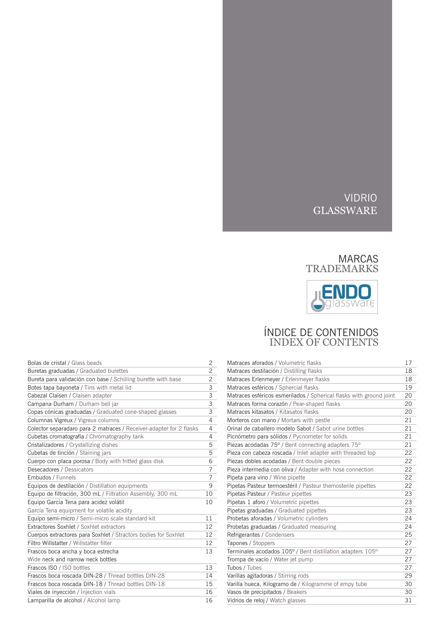# VIDRIO GLASSWARE

# MARCAS TRADEMARKS



# ÍNDICE DE CONTENIDOS INDEX OF CONTENTS

| Bolas de cristal / Glass beads                                      | 2              |
|---------------------------------------------------------------------|----------------|
| Buretas graduadas / Graduated burettes                              | $\overline{c}$ |
| Bureta para validación con base / Schilling burette with base       | $\overline{c}$ |
| Botes tapa bayoneta / Tins with metal lid                           | 3              |
| Cabezal Claisen / Claisen adapter                                   | 3              |
| Campana Durham / Durham bell jar                                    | 3              |
| Copas cónicas graduadas / Graduated cone-shaped glasses             | 3              |
| Columnas Vigreux / Vigreux columns                                  | 4              |
| Colector separadaro para 2 matraces / Receiver-adapter for 2 flasks | 4              |
| Cubetas cromatografía / Chromatography tank                         | 4              |
| Cristalizadores / Crystallizing dishes                              | 5              |
| Cubetas de tinción / Staining jars                                  | 5              |
| Cuerpo con placa porosa / Body with fritted glass disk              | 6              |
| Desecadores / Dessicators                                           | $\overline{7}$ |
| Embudos / Funnels                                                   | $\overline{7}$ |
| Equipos de destilación / Distillation equipments                    | 9              |
| Equipo de filtración, 300 mL / Filtration Assembly, 300 mL          | 10             |
| Equipo García Tena para acidez volátil                              | 10             |
| García Tena equipment for volatile acidity                          |                |
| Equipo semi-micro / Semi-micro scale standard kit                   | 11             |
| Extractores Soxhlet / Soxhlet extractors                            | 12             |
| Cuerpos extractores para Soxhlet / Stractors bodies for Soxhlet     | 12             |
| Filtro Willstatter / Willstatter filter                             | 12             |
| Frascos boca ancha y boca estrecha                                  | 13             |
| Wide neck and narrow neck bottles                                   |                |
| Frascos ISO / ISO bottles                                           | 13             |
| Frascos boca roscada DIN-28 / Thread bottles DIN-28                 | 14             |
| Frascos boca roscada DIN-18 / Thread bottles DIN-18                 | 15             |
| Viales de inyección / Injection vials                               | 16             |
| Lamparilla de alcohol / Alcohol lamp                                | 16             |

| Matraces aforados / Volumetric flasks                                | 17 |
|----------------------------------------------------------------------|----|
| Matraces destilación / Distilling flasks                             | 18 |
| Matraces Erlenmeyer / Erlenmeyer flasks                              | 18 |
| Matraces esféricos / Sphercial flasks                                | 19 |
| Matraces esféricos esmerilados / Spherical flasks with ground joint  | 20 |
| Matraces forma corazón / Pear-shaped flasks                          | 20 |
| Matraces kitasatos / Kitasatos flasks                                | 20 |
| Morteros con mano / Mortars with pestle                              | 21 |
| Orinal de caballero modelo Sabot / Sabot urine bottles               | 21 |
| Picnómetro para sólidos / Pycnometer for solids                      | 21 |
| Piezas acodadas $75^{\circ}$ / Bent connecting adapters $75^{\circ}$ | 21 |
| Pieza con cabeza roscada / Inlet adapter with threaded top           | 22 |
| Piezas dobles acodadas / Bent double pieces                          | 22 |
| Pieza intermedia con oliva / Adapter with hose connection            | 22 |
| Pipeta para vino / Wine pipette                                      | 22 |
| Pipetas Pasteur termoestéril / Pasteur themosterile pipettes         | 22 |
| Pipetas Pasteur / Pasteur pipettes                                   | 23 |
| Pipetas 1 aforo / Volumetric pipettes                                | 23 |
| Pipetas graduadas / Graduated pipettes                               | 23 |
| Probetas aforadas / Volumetric cylinders                             | 24 |
| Probetas graduadas / Graduated measuring                             | 24 |
| Refrigerantes / Condensers                                           | 25 |
| Tapones / Stoppers                                                   | 27 |
| Terminales acodados 105° / Bent distillation adapters 105°           | 27 |
| Trompa de vacío / Water jet pump                                     | 27 |
| Tubos / Tubes                                                        | 27 |
| Varillas agitadoras / Stirring rods                                  | 29 |
| Varilla hueca, Kilogramo de / Kilogramme of empy tube                | 30 |
| Vasos de precipitados / Beakers                                      | 30 |
| Vidrios de reloj / Watch glasses                                     | 31 |
|                                                                      |    |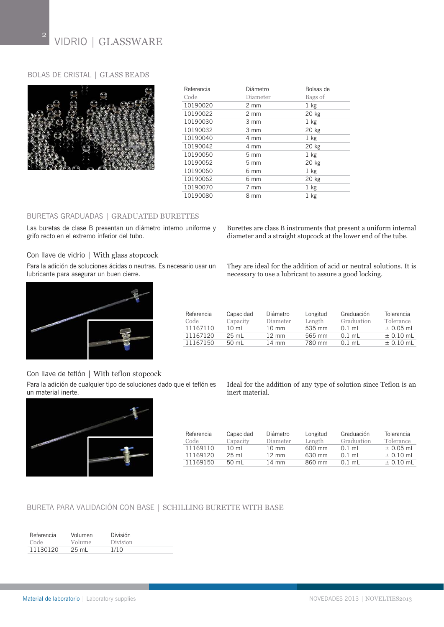#### BOLAS DE CRISTAL | GLASS BEADS



| Referencia | Diámetro         | Bolsas de |
|------------|------------------|-----------|
| Code       | Diameter         | Bags of   |
| 10190020   | $2 \, \text{mm}$ | $1$ kg    |
| 10190022   | $2 \text{ mm}$   | 20 kg     |
| 10190030   | 3 mm             | $1$ kg    |
| 10190032   | $3 \text{ mm}$   | 20 kg     |
| 10190040   | 4 mm             | $1$ kg    |
| 10190042   | 4 mm             | 20 kg     |
| 10190050   | $5 \text{ mm}$   | $1$ kg    |
| 10190052   | $5 \, \text{mm}$ | 20 kg     |
| 10190060   | 6 mm             | $1$ kg    |
| 10190062   | 6 mm             | 20 kg     |
| 10190070   | 7 mm             | $1$ kg    |
| 10190080   | 8 mm             | $1$ kg    |

### BURETAS GRADUADAS | GRADUATED BURETTES

Las buretas de clase B presentan un diámetro interno uniforme y grifo recto en el extremo inferior del tubo.

Con llave de vidrio | With glass stopcock

Para la adición de soluciones ácidas o neutras. Es necesario usar un lubricante para asegurar un buen cierre.

Burettes are class B instruments that present a uniform internal diameter and a straight stopcock at the lower end of the tube.

They are ideal for the addition of acid or neutral solutions. It is necessary to use a lubricant to assure a good locking.



| Referencia | Capacidad | Diámetro        | Longitud | Graduación | Tolerancia    |
|------------|-----------|-----------------|----------|------------|---------------|
| Code       | Capacity  | Diameter        | Length   | Graduation | Tolerance     |
| 11167110   | 10 mL     | $10 \text{ mm}$ | 535 mm   | $0.1$ ml   | $\pm$ 0.05 mL |
| 11167120   | $25$ mL   | $12 \text{ mm}$ | 565 mm   | $0.1$ ml   | $± 0.10$ mL   |
| 11167150   | 50 mL     | 14 mm           | 780 mm   | $0.1$ ml   | $± 0.10$ mL   |

# Con llave de teflón | With teflon stopcock

Para la adición de cualquier tipo de soluciones dado que el teflón es un material inerte.



Ideal for the addition of any type of solution since Teflon is an inert material.

| Referencia | Capacidad       | Diámetro        | Longitud | Graduación | Tolerancia    |
|------------|-----------------|-----------------|----------|------------|---------------|
| Code       | Capacity        | Diameter        | Length   | Graduation | Tolerance     |
| 11169110   | $10 \text{ mL}$ | $10 \text{ mm}$ | 600 mm   | $0.1$ ml   | $\pm$ 0.05 mL |
| 11169120   | $25 \text{ mL}$ | $12 \text{ mm}$ | 630 mm   | $0.1$ mL   | $\pm$ 0.10 mL |
| 11169150   | 50 mL           | $14 \text{ mm}$ | 860 mm   | $0.1$ ml   | $\pm$ 0.10 mL |
|            |                 |                 |          |            |               |

BURETA PARA VALIDACIÓN CON BASE | SCHILLING BURETTE WITH BASE

| Referencia | Volumen         | División |
|------------|-----------------|----------|
| Code       | Volume          | Division |
| 11130120   | $25 \text{ ml}$ | 1/10     |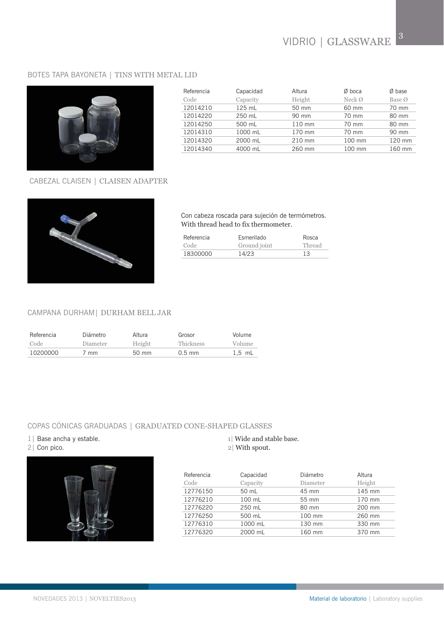# BOTES TAPA BAYONETA | TINS WITH METAL LID



| Referencia | Capacidad | Altura | $Ø$ boca             | Ø base |
|------------|-----------|--------|----------------------|--------|
| Code       | Capacity  | Height | $Neck$ $\varnothing$ | Base Ø |
| 12014210   | 125 mL    | 50 mm  | 60 mm                | 70 mm  |
| 12014220   | 250 mL    | 90 mm  | 70 mm                | 80 mm  |
| 12014250   | 500 mL    | 110 mm | 70 mm                | 80 mm  |
| 12014310   | 1000 mL   | 170 mm | 70 mm                | 90 mm  |
| 12014320   | 2000 mL   | 210 mm | 100 mm               | 120 mm |
| 12014340   | 4000 mL   | 260 mm | 100 mm               | 160 mm |
|            |           |        |                      |        |

#### CABEZAL CLAISEN | CLAISEN ADAPTER



Con cabeza roscada para sujeción de termómetros. With thread head to fix thermometer.

| Referencia | Esmerilado   | Rosca  |
|------------|--------------|--------|
| Code       | Ground joint | Thread |
| 18300000   | 14/23        | 13     |

# CAMPANA DURHAM| DURHAM BELL JAR

| Referencia | Diámetro | Altura          | Grosor           | Volume   |
|------------|----------|-----------------|------------------|----------|
| Code       | Diameter | Height          | <b>Thickness</b> | Volume   |
| 10200000   | mm       | $50 \text{ mm}$ | $0.5$ mm         | $1.5$ mL |

# COPAS CÓNICAS GRADUADAS | GRADUATED CONE-SHAPED GLASSES

#### 1| Base ancha y estable.

2| Con pico.



1| Wide and stable base.

2| With spout.

| Referencia | Capacidad | Diámetro | Altura |
|------------|-----------|----------|--------|
| Code       | Capacity  | Diameter | Height |
| 12776150   | 50 mL     | 45 mm    | 145 mm |
| 12776210   | $100$ mL  | 55 mm    | 170 mm |
| 12776220   | 250 mL    | 80 mm    | 200 mm |
| 12776250   | 500 mL    | 100 mm   | 260 mm |
| 12776310   | 1000 mL   | 130 mm   | 330 mm |
| 12776320   | 2000 mL   | 160 mm   | 370 mm |
|            |           |          |        |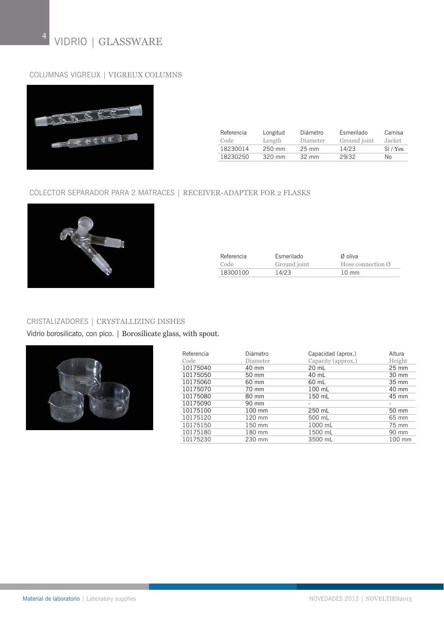

# COLUMNAS VIGREUX | VIGREUX COLUMNS



| Referencia | Longitud | Diámetro        | Esmerilado   | Camisa   |
|------------|----------|-----------------|--------------|----------|
| Code       | Length   | Diameter        | Ground joint | Jacket   |
| 18230014   | 250 mm   | $25 \text{ mm}$ | 14/23        | Si / Yes |
| 18230250   | 320 mm   | $32 \text{ mm}$ | 29/32        | No.      |
|            |          |                 |              |          |

# COLECTOR SEPARADOR PARA 2 MATRACES | RECEIVER-ADAPTER FOR 2 FLASKS



| Referencia | Esmerilado   | Ø oliva                       |
|------------|--------------|-------------------------------|
| Code       | Ground joint | Hose connection $\varnothing$ |
| 18300100   | 14/23        | $10 \text{ mm}$               |

# CRISTALIZADORES | CRYSTALLIZING DISHES

Vidrio borosilicato, con pico. | Borosilicate glass, with spout.



| Referencia | Diámetro | Capacidad (aprox.) | Altura          |
|------------|----------|--------------------|-----------------|
| Code       | Diameter | Capacity (approx.) | Height          |
| 10175040   | 40 mm    | 20 mL              | $25 \text{ mm}$ |
| 10175050   | 50 mm    | 40 mL              | 30 mm           |
| 10175060   | 60 mm    | 60 mL              | 35 mm           |
| 10175070   | 70 mm    | 100 mL             | 40 mm           |
| 10175080   | 80 mm    | 150 mL             | 45 mm           |
| 10175090   | 90 mm    |                    |                 |
| 10175100   | 100 mm   | 250 mL             | 50 mm           |
| 10175120   | 120 mm   | 500 mL             | 65 mm           |
| 10175150   | 150 mm   | 1000 mL            | 75 mm           |
| 10175180   | 180 mm   | 1500 mL            | 90 mm           |
| 10175230   | 230 mm   | 3500 mL            | 100 mm          |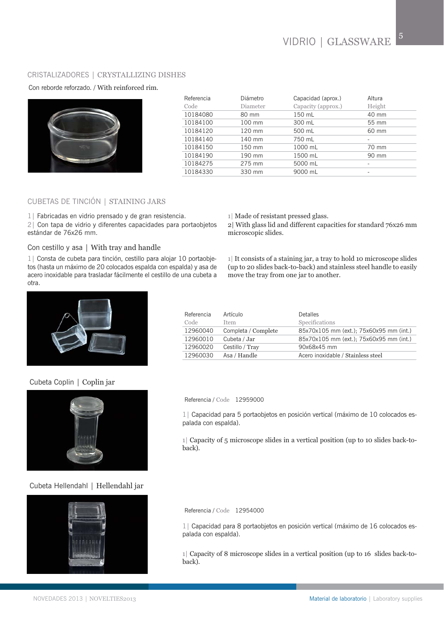#### CRISTALIZADORES | CRYSTALLIZING DISHES

Con reborde reforzado. / With reinforced rim.

| Referencia | Diámetro | Capacidad (aprox.) | Altura |
|------------|----------|--------------------|--------|
| Code       | Diameter | Capacity (approx.) | Height |
| 10184080   | 80 mm    | 150 mL             | 40 mm  |
| 10184100   | 100 mm   | 300 mL             | 55 mm  |
| 10184120   | 120 mm   | 500 mL             | 60 mm  |
| 10184140   | 140 mm   | 750 mL             |        |
| 10184150   | 150 mm   | 1000 mL            | 70 mm  |
| 10184190   | 190 mm   | 1500 mL            | 90 mm  |
| 10184275   | 275 mm   | 5000 mL            |        |
| 10184330   | 330 mm   | 9000 mL            |        |
|            |          |                    |        |

### CUBETAS DE TINCIÓN | STAINING JARS

1| Fabricadas en vidrio prensado y de gran resistencia.

2| Con tapa de vidrio y diferentes capacidades para portaobjetos estándar de 76x26 mm.

Con cestillo y asa | With tray and handle

1| Consta de cubeta para tinción, cestillo para alojar 10 portaobjetos (hasta un máximo de 20 colocados espalda con espalda) y asa de acero inoxidable para trasladar fácilmente el cestillo de una cubeta a otra.

1| Made of resistant pressed glass.

2| With glass lid and different capacities for standard 76x26 mm microscopic slides.

1| It consists of a staining jar, a tray to hold 10 microscope slides (up to 20 slides back-to-back) and stainless steel handle to easily move the tray from one jar to another.



| Referencia | Artículo            | <b>Detalles</b>                         |
|------------|---------------------|-----------------------------------------|
| Code       | Item                | Specifications                          |
| 12960040   | Completa / Complete | 85x70x105 mm (ext.); 75x60x95 mm (int.) |
| 12960010   | Cubeta / Jar        | 85x70x105 mm (ext.); 75x60x95 mm (int.) |
| 12960020   | Cestillo / Tray     | 90x68x45 mm                             |
| 12960030   | Asa / Handle        | Acero inoxidable / Stainless steel      |

#### Cubeta Coplin | Coplin jar



#### Cubeta Hellendahl | Hellendahl jar



Referencia / Code 12959000

1| Capacidad para 5 portaobjetos en posición vertical (máximo de 10 colocados espalada con espalda).

1| Capacity of 5 microscope slides in a vertical position (up to 10 slides back-toback).

Referencia / Code 12954000

1| Capacidad para 8 portaobjetos en posición vertical (máximo de 16 colocados espalada con espalda).

1| Capacity of 8 microscope slides in a vertical position (up to 16 slides back-toback).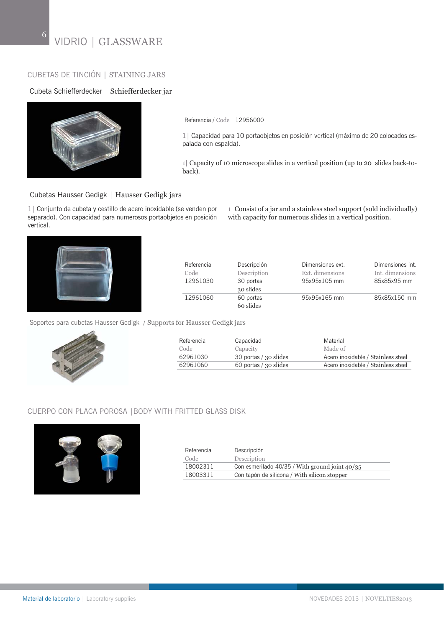#### CUBETAS DE TINCIÓN | STAINING JARS

#### Cubeta Schiefferdecker | Schiefferdecker jar



Referencia / Code 12956000

1| Capacidad para 10 portaobjetos en posición vertical (máximo de 20 colocados espalada con espalda).

1| Capacity of 10 microscope slides in a vertical position (up to 20 slides back-toback).

1| Consist of a jar and a stainless steel support (sold individually)

with capacity for numerous slides in a vertical position.

#### Cubetas Hausser Gedigk | Hausser Gedigk jars

1| Conjunto de cubeta y cestillo de acero inoxidable (se venden por separado). Con capacidad para numerosos portaobjetos en posición vertical.



| Referencia | Descripción | Dimensiones ext. | Dimensiones int. |
|------------|-------------|------------------|------------------|
| Code       | Description | Ext. dimensions  | Int. dimensions  |
| 12961030   | 30 portas   | 95x95x105 mm     | 85x85x95 mm      |
|            | 30 slides   |                  |                  |
| 12961060   | 60 portas   | 95x95x165 mm     | 85x85x150 mm     |
|            | 60 slides   |                  |                  |

Soportes para cubetas Hausser Gedigk / Supports for Hausser Gedigk jars



| Referencia | Capacidad             | Material                           |
|------------|-----------------------|------------------------------------|
| Code       | Capacity              | Made of                            |
| 62961030   | 30 portas / 30 slides | Acero inoxidable / Stainless steel |
| 62961060   | 60 portas / 30 slides | Acero inoxidable / Stainless steel |

#### CUERPO CON PLACA POROSA |BODY WITH FRITTED GLASS DISK



| Referencia | Descripción                                        |
|------------|----------------------------------------------------|
| Code       | Description                                        |
| 18002311   | Con esmerilado $40/35$ / With ground joint $40/35$ |
| 18003311   | Con tapón de silicona / With silicon stopper       |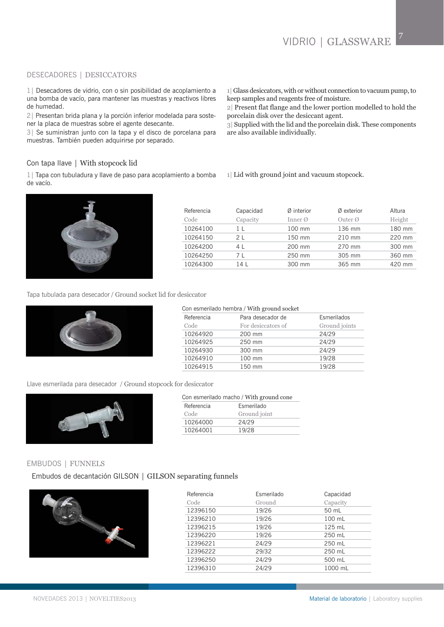#### DESECADORES | DESICCATORS

1| Desecadores de vidrio, con o sin posibilidad de acoplamiento a una bomba de vacío, para mantener las muestras y reactivos libres de humedad.

2| Presentan brida plana y la porción inferior modelada para sostener la placa de muestras sobre el agente desecante.

3| Se suministran junto con la tapa y el disco de porcelana para muestras. También pueden adquirirse por separado.

#### Con tapa llave | With stopcock lid

1| Tapa con tubuladura y llave de paso para acoplamiento a bomba de vacío.

1| Glass desiccators, with or without connection to vacuum pump, to keep samples and reagents free of moisture.

2| Present flat flange and the lower portion modelled to hold the porcelain disk over the desiccant agent.

3| Supplied with the lid and the porcelain disk. These components are also available individually.

1| Lid with ground joint and vacuum stopcock.



| Referencia | Capacidad      | Ø interior          | Ø exterior          | Altura |
|------------|----------------|---------------------|---------------------|--------|
| Code       | Capacity       | Inner $\varnothing$ | Outer $\varnothing$ | Height |
| 10264100   | 11             | 100 mm              | 136 mm              | 180 mm |
| 10264150   | 2 <sup>1</sup> | 150 mm              | $210$ mm            | 220 mm |
| 10264200   | 4 L            | 200 mm              | 270 mm              | 300 mm |
| 10264250   | 7 I            | 250 mm              | 305 mm              | 360 mm |
| 10264300   | 14 L           | 300 mm              | 365 mm              | 420 mm |

Tapa tubulada para desecador / Ground socket lid for desiccator



Con esmerilado hembra / With ground socket

| Para desecador de  | Esmerilados   |
|--------------------|---------------|
| For desiccators of | Ground joints |
| 200 mm             | 24/29         |
| 250 mm             | 24/29         |
| 300 mm             | 24/29         |
| 100 mm             | 19/28         |
| 150 mm             | 19/28         |
|                    |               |

Llave esmerilada para desecador / Ground stopcock for desiccator



| Con esmerilado macho / With ground cone |              |  |  |  |
|-----------------------------------------|--------------|--|--|--|
| Referencia                              | Esmerilado   |  |  |  |
| Code                                    | Ground joint |  |  |  |
| 10264000                                | 24/29        |  |  |  |
| 10264001                                | 19/28        |  |  |  |
|                                         |              |  |  |  |

#### EMBUDOS | FUNNELS

#### Embudos de decantación GILSON | GILSON separating funnels



| Referencia | Esmerilado | Capacidad |
|------------|------------|-----------|
| Code       | Ground     | Capacity  |
| 12396150   | 19/26      | 50 mL     |
| 12396210   | 19/26      | 100 mL    |
| 12396215   | 19/26      | $125$ mL  |
| 12396220   | 19/26      | 250 mL    |
| 12396221   | 24/29      | 250 mL    |
| 12396222   | 29/32      | 250 mL    |
| 12396250   | 24/29      | 500 mL    |
| 12396310   | 24/29      | 1000 mL   |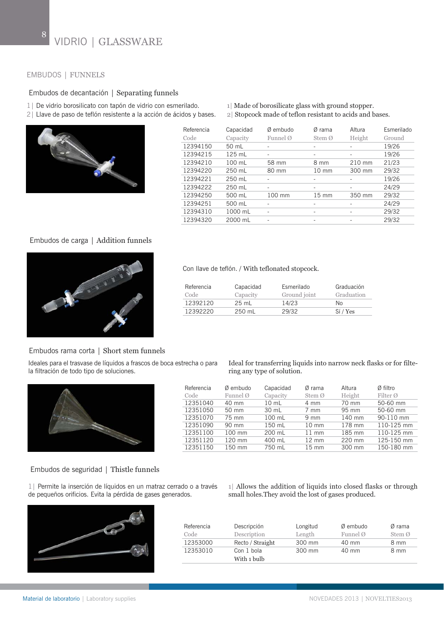#### EMBUDOS | FUNNELS

#### Embudos de decantación | Separating funnels

- 1| De vidrio borosilicato con tapón de vidrio con esmerilado.
- 2| Llave de paso de teflón resistente a la acción de ácidos y bases.



| Referencia | Capacidad | $Ø$ embudo           | Ø rama                   | Altura | Esmerilado |
|------------|-----------|----------------------|--------------------------|--------|------------|
| Code       | Capacity  | Funnel $\varnothing$ | Stem Ø                   | Height | Ground     |
| 12394150   | 50 mL     | $\qquad \qquad -$    | -                        |        | 19/26      |
| 12394215   | $125$ mL  | $\overline{a}$       | $\overline{\phantom{a}}$ |        | 19/26      |
| 12394210   | 100 mL    | 58 mm                | 8 mm                     | 210 mm | 21/23      |
| 12394220   | 250 mL    | 80 mm                | $10 \text{ mm}$          | 300 mm | 29/32      |
| 12394221   | 250 mL    |                      |                          |        | 19/26      |
| 12394222   | 250 mL    |                      | $\overline{a}$           |        | 24/29      |
| 12394250   | 500 mL    | 100 mm               | $15 \text{ mm}$          | 350 mm | 29/32      |
| 12394251   | 500 mL    | $\overline{a}$       | -                        |        | 24/29      |
| 12394310   | 1000 mL   | $\overline{a}$       | $\overline{a}$           |        | 29/32      |
| 12394320   | 2000 mL   |                      |                          |        | 29/32      |

1| Made of borosilicate glass with ground stopper. 2| Stopcock made of teflon resistant to acids and bases.

#### Embudos de carga | Addition funnels



#### Embudos rama corta | Short stem funnels

Ideales para el trasvase de líquidos a frascos de boca estrecha o para la filtración de todo tipo de soluciones.



# Embudos de seguridad | Thistle funnels

1| Permite la inserción de líquidos en un matraz cerrado o a través de pequeños orificios. Evita la pérdida de gases generados.

Con llave de teflón. / With teflonated stopcock.

| Referencia | Capacidad | Esmerilado   | Graduación |
|------------|-----------|--------------|------------|
| Code       | Capacity  | Ground joint | Graduation |
| 12392120   | 25 mL     | 14/23        | No.        |
| 12392220   | 250 mL    | 29/32        | Sí / Yes   |

Ideal for transferring liquids into narrow neck flasks or for filtering any type of solution.

| Referencia | $Ø$ embudo | Capacidad       | Ø rama          | Altura | Ø filtro             |
|------------|------------|-----------------|-----------------|--------|----------------------|
| Code       | Funnel Ø   | Capacity        | Stem Ø          | Height | Filter $\varnothing$ |
| 12351040   | 40 mm      | $10 \text{ mL}$ | 4 mm            | 70 mm  | 50-60 mm             |
| 12351050   | 50 mm      | 30 mL           | $7 \text{ mm}$  | 95 mm  | 50-60 mm             |
| 12351070   | 75 mm      | 100 mL          | $9 \text{ mm}$  | 140 mm | 90-110 mm            |
| 12351090   | 90 mm      | 150 mL          | $10 \text{ mm}$ | 178 mm | 110-125 mm           |
| 12351100   | $100$ mm   | 200 ml          | $11 \text{ mm}$ | 185 mm | 110-125 mm           |
| 12351120   | 120 mm     | 400 mL          | $12 \text{ mm}$ | 220 mm | 125-150 mm           |
| 12351150   | 150 mm     | 750 mL          | $15 \text{ mm}$ | 300 mm | 150-180 mm           |
|            |            |                 |                 |        |                      |

1| Allows the addition of liquids into closed flasks or through small holes.They avoid the lost of gases produced.

| Referencia<br>Code | Descripción<br>Description | Longitud<br>Length | $\emptyset$ embudo<br>Funnel $\varnothing$ | Ø rama<br>Stem Ø |
|--------------------|----------------------------|--------------------|--------------------------------------------|------------------|
| 12353000           | Recto / Straight           | 300 mm             | 40 mm                                      | 8 mm             |
| 12353010           | Con 1 bola<br>With 1 bulb  | 300 mm             | 40 mm                                      | 8 mm             |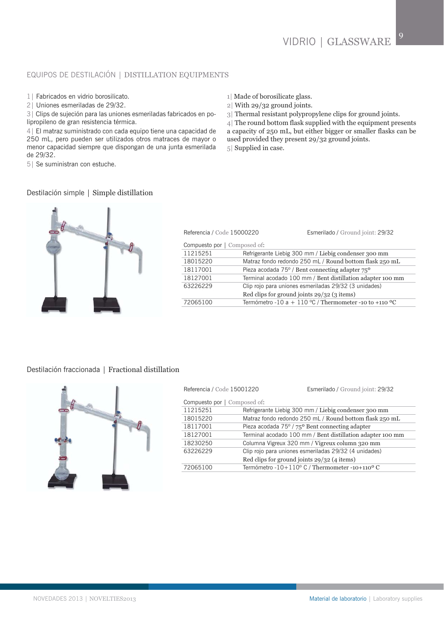# EQUIPOS DE DESTILACIÓN | DISTILLATION EQUIPMENTS

1| Fabricados en vidrio borosilicato.

2| Uniones esmeriladas de 29/32.

3| Clips de sujeción para las uniones esmeriladas fabricados en polipropileno de gran resistencia térmica.

4| El matraz suministrado con cada equipo tiene una capacidad de 250 mL, pero pueden ser utilizados otros matraces de mayor o menor capacidad siempre que dispongan de una junta esmerilada de 29/32.

5| Se suministran con estuche.

1| Made of borosilicate glass.

2| With 29/32 ground joints.

3| Thermal resistant polypropylene clips for ground joints.

4| The round bottom flask supplied with the equipment presents a capacity of 250 mL, but either bigger or smaller flasks can be used provided they present 29/32 ground joints. 5| Supplied in case.

#### Destilación simple | Simple distillation



| Referencia / Code 15000220   |                                                        | Esmerilado / Ground joint: 29/32                           |
|------------------------------|--------------------------------------------------------|------------------------------------------------------------|
| Compuesto por   Composed of: |                                                        |                                                            |
| 11215251                     | Refrigerante Liebig 300 mm / Liebig condenser 300 mm   |                                                            |
| 18015220                     |                                                        | Matraz fondo redondo 250 mL / Round bottom flask 250 mL    |
| 18117001                     | Pieza acodada 75° / Bent connecting adapter 75°        |                                                            |
| 18127001                     |                                                        | Terminal acodado 100 mm / Bent distillation adapter 100 mm |
| 63226229                     | Clip rojo para uniones esmeriladas 29/32 (3 unidades)  |                                                            |
|                              | Red clips for ground joints $29/32$ (3 items)          |                                                            |
| 72065100                     | Termómetro -10 a + 110 °C / Thermometer -10 to +110 °C |                                                            |
|                              |                                                        |                                                            |

#### Destilación fraccionada | Fractional distillation



| Referencia / Code 15001220          | Esmerilado / Ground joint: 29/32                                  |  |
|-------------------------------------|-------------------------------------------------------------------|--|
| <b>Compuesto por</b>   Composed of: |                                                                   |  |
| 11215251                            | Refrigerante Liebig 300 mm / Liebig condenser 300 mm              |  |
| 18015220                            | Matraz fondo redondo 250 mL / Round bottom flask 250 mL           |  |
| 18117001                            | Pieza acodada 75 $\degree$ / 75 $\degree$ Bent connecting adapter |  |
| 18127001                            | Terminal acodado 100 mm / Bent distillation adapter 100 mm        |  |
| 18230250                            | Columna Vigreux 320 mm / Vigreux column 320 mm                    |  |
| 63226229                            | Clip rojo para uniones esmeriladas 29/32 (4 unidades)             |  |
|                                     | Red clips for ground joints $29/32$ (4 items)                     |  |
| 72065100                            | Termómetro -10+110°C / Thermometer -10+110°C                      |  |

NOVEDADES 2013 | NOVELTIES2013 Material de laboratorio | Laboratory supplies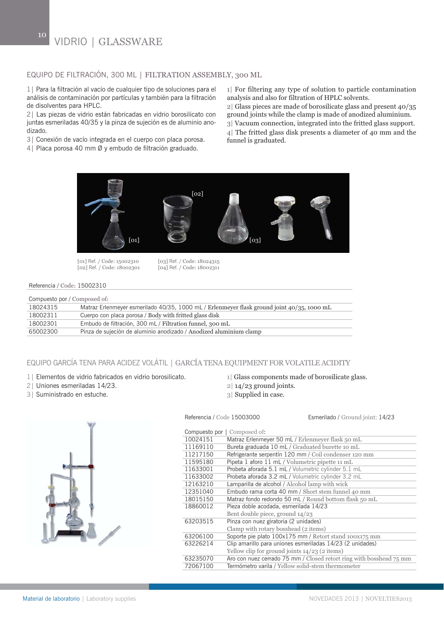# EQUIPO DE FILTRACIÓN, 300 ML | FILTRATION ASSEMBLY, 300 ML

1| Para la filtración al vacío de cualquier tipo de soluciones para el análisis de contaminación por partículas y también para la filtración de disolventes para HPLC.

2| Las piezas de vidrio están fabricadas en vidrio borosilicato con juntas esmeriladas 40/35 y la pinza de sujeción es de aluminio anodizado.

- 3| Conexión de vacío integrada en el cuerpo con placa porosa.
- 4| Placa porosa 40 mm Ø y embudo de filtración graduado.

1| For filtering any type of solution to particle contamination analysis and also for filtration of HPLC solvents.

2| Glass pieces are made of borosilicate glass and present 40/35 ground joints while the clamp is made of anodized aluminium. 3| Vacuum connection, integrated into the fritted glass support. 4| The fritted glass disk presents a diameter of 40 mm and the funnel is graduated.



[01] Ref. / Code: 15002310 [03] Ref. / Code: 18024315 [02] Ref. / Code: 18002301

#### Referencia / Code: 15002310

| Compuesto por / Composed of: |                                                                                               |  |
|------------------------------|-----------------------------------------------------------------------------------------------|--|
| 18024315                     | Matraz Erlenmeyer esmerilado 40/35, 1000 mL / Erlenmeyer flask ground joint $40/35$ , 1000 mL |  |
| 18002311                     | Cuerpo con placa porosa / Body with fritted glass disk                                        |  |
| 18002301                     | Embudo de filtración, 300 mL / Filtration funnel, 300 mL                                      |  |
| 65002300                     | Pinza de sujeción de aluminio anodizado / Anodized aluminium clamp                            |  |

#### EQUIPO GARCÍA TENA PARA ACIDEZ VOLÁTIL | GARCÍA TENA EQUIPMENT FOR VOLATILE ACIDITY

- 1| Elementos de vidrio fabricados en vidrio borosilicato.
- 2| Uniones esmeriladas 14/23.
- 3| Suministrado en estuche.
- 1| Glass components made of borosilicate glass.
- 2| 14/23 ground joints.
- 3| Supplied in case.

Referencia / Code 15003000 Esmerilado / Ground joint: 14/23



|          | <b>Compuesto por</b>   Composed of:                                 |  |  |
|----------|---------------------------------------------------------------------|--|--|
| 10024151 | Matraz Erlenmeyer 50 mL / Erlenmeyer flask 50 mL                    |  |  |
| 11169110 | Bureta graduada 10 mL / Graduated burette 10 mL                     |  |  |
| 11217150 | Refrigerante serpentín 120 mm / Coil condenser 120 mm               |  |  |
| 11595180 | Pipeta 1 aforo 11 mL / Volumetric pipette 11 mL                     |  |  |
| 11633001 | Probeta aforada 5.1 mL / Volumetric cylinder 5.1 mL                 |  |  |
| 11633002 | Probeta aforada 3.2 mL / Volumetric cylinder 3.2 mL                 |  |  |
| 12163210 | Lamparilla de alcohol / Alcohol lamp with wick                      |  |  |
| 12351040 | Embudo rama corta 40 mm / Short stem funnel 40 mm                   |  |  |
| 18015150 | Matraz fondo redondo 50 mL / Round bottom flask 50 mL               |  |  |
| 18860012 | Pieza doble acodada, esmerilada 14/23                               |  |  |
|          | Bent double piece, ground 14/23                                     |  |  |
| 63203515 | Pinza con nuez giratoria (2 unidades)                               |  |  |
|          | Clamp with rotary bosshead (2 items)                                |  |  |
| 63206100 | Soporte pie plato 100x175 mm / Retort stand 100x175 mm              |  |  |
| 63226214 | Clip amarillo para uniones esmeriladas 14/23 (2 unidades)           |  |  |
|          | Yellow clip for ground joints $14/23$ (2 items)                     |  |  |
| 63235070 | Aro con nuez cerrado 75 mm / Closed retort ring with bosshead 75 mm |  |  |
| 72067100 | Termómetro varila / Yellow solid-stem thermometer                   |  |  |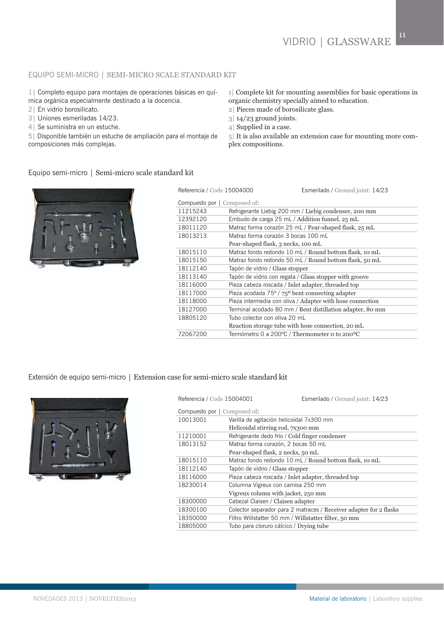# EQUIPO SEMI-MICRO | SEMI-MICRO SCALE STANDARD KIT

1| Completo equipo para montajes de operaciones básicas en química orgánica especialmente destinado a la docencia.

- 2| En vidrio borosilicato.
- 3| Uniones esmeriladas 14/23.
- 4| Se suministra en un estuche.

5| Disponible también un estuche de ampliación para el montaje de composiciones más complejas.

- 1| Complete kit for mounting assemblies for basic operations in organic chemistry specially aimed to education.
- 2| Pieces made of borosilicate glass.
- 3| 14/23 ground joints.
- 4| Supplied in a case.
- 5| It is also available an extension case for mounting more complex compositions.

#### Equipo semi-micro | Semi-micro scale standard kit



# Referencia / Code 15004000 **Esmerilado** / Ground joint: 14/23

| <b>Compuesto por</b>   Composed of: |                                                                   |
|-------------------------------------|-------------------------------------------------------------------|
| 11215243                            | Refrigerante Liebig 200 mm / Liebig condenser, 200 mm             |
| 12392120                            | Embudo de carga 25 mL / Addition funnel, 25 mL                    |
| 18011120                            | Matraz forma corazón 25 mL / Pear-shaped flask, 25 mL             |
| 18013213                            | Matraz forma corazón 3 bocas 100 mL                               |
|                                     | Pear-shaped flask, 3 necks, 100 mL                                |
| 18015110                            | Matraz fondo redondo 10 mL / Round bottom flask, 10 mL            |
| 18015150                            | Matraz fondo redondo 50 mL / Round bottom flask, 50 mL            |
| 18112140                            | Tapón de vidrio / Glass stopper                                   |
| 18113140                            | Tapón de vidrio con regata / Glass stopper with groove            |
| 18116000                            | Pieza cabeza roscada / Inlet adapter, threaded top                |
| 18117000                            | Pieza acodada 75 $\degree$ / 75 $\degree$ bent connecting adapter |
| 18118000                            | Pieza intermedia con oliva / Adapter with hose connection         |
| 18127000                            | Terminal acodado 80 mm / Bent distillation adapter, 80 mm         |
| 18805120                            | Tubo colector con oliva 20 mL                                     |
|                                     | Reaction storage tube with hose connection, 20 mL                 |
| 72067200                            | Termómetro 0 a 200°C / Thermometer o to 200°C                     |
|                                     |                                                                   |

#### Extensión de equipo semi-micro | Extension case for semi-micro scale standard kit



| Referencia / Code 15004001 |                                                      | Esmerilado / Ground joint: 14/23                                   |  |  |  |
|----------------------------|------------------------------------------------------|--------------------------------------------------------------------|--|--|--|
|                            | <b>Compuesto por</b>   Composed of:                  |                                                                    |  |  |  |
| 10013001                   | Varilla de agitación helicoidal 7x300 mm             |                                                                    |  |  |  |
|                            | Helicoidal stirring rod, 7x300 mm                    |                                                                    |  |  |  |
| 11210001                   | Refrigerante dedo frío / Cold finger condenser       |                                                                    |  |  |  |
| 18013152                   | Matraz forma corazón, 2 bocas 50 mL                  |                                                                    |  |  |  |
|                            | Pear-shaped flask, 2 necks, 50 mL                    |                                                                    |  |  |  |
| 18015110                   |                                                      | Matraz fondo redondo 10 mL / Round bottom flask, 10 mL             |  |  |  |
| 18112140                   | Tapón de vidrio / Glass stopper                      |                                                                    |  |  |  |
| 18116000                   | Pieza cabeza roscada / Inlet adapter, threaded top   |                                                                    |  |  |  |
| 18230014                   | Columna Vigreux con camisa 250 mm                    |                                                                    |  |  |  |
|                            | Vigreux column with jacket, 250 mm                   |                                                                    |  |  |  |
| 18300000                   | Cabezal Claisen / Claisen adapter                    |                                                                    |  |  |  |
| 18300100                   |                                                      | Colector separador para 2 matraces / Receiver adapter for 2 flasks |  |  |  |
| 18350000                   | Filtro Willstatter 50 mm / Willstatter filter, 50 mm |                                                                    |  |  |  |
| 18805000                   | Tubo para cloruro cálcico / Drying tube              |                                                                    |  |  |  |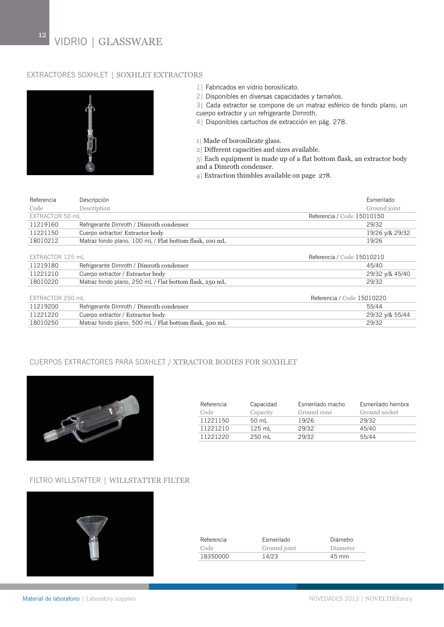#### EXTRACTORES SOXHLET | SOXHLET EXTRACTORS



- 1| Fabricados en vidrio borosilicato.
- 2| Disponibles en diversas capacidades y tamaños.
- 3| Cada extractor se compone de un matraz esférico de fondo plano, un
- cuerpo extractor y un refrigerante Dimroth.
- 4| Disponibles cartuchos de extracción en pág. 278.
- 1| Made of borosilicate glass.
- 2| Different capacities and sizes available.
- 3| Each equipment is made up of a flat bottom flask, an extractor body and a Dimroth condenser.
- 4| Extraction thimbles available on page 278.

| Referencia       | Descripción                                            | Esmerilado                 |
|------------------|--------------------------------------------------------|----------------------------|
| Code             | Description                                            | Ground joint               |
| EXTRACTOR 50 mL  |                                                        | Referencia / Code 15010150 |
| 11219160         | Refrigerante Dimroth / Dimroth condenser               | 29/32                      |
| 11221150         | Cuerpo extractor/ Extractor body                       | 19/26 v/& 29/32            |
| 18010212         | Matraz fondo plano, 100 mL / Flat bottom flask, 100 mL | 19/26                      |
|                  |                                                        |                            |
|                  |                                                        |                            |
| EXTRACTOR 125 mL |                                                        | Referencia / Code 15010210 |
| 11219180         | Refrigerante Dimroth / Dimroth condenser               | 45/40                      |
| 11221210         | Cuerpo extractor / Extractor body                      | 29/32 y/& 45/40            |
| 18010220         | Matraz fondo plano, 250 mL / Flat bottom flask, 250 mL | 29/32                      |
|                  |                                                        |                            |
| EXTRACTOR 250 mL |                                                        | Referencia / Code 15010220 |

| 11219200 | Refrigerante Dimroth / Dimroth condenser               | 55/44           |
|----------|--------------------------------------------------------|-----------------|
| 11221220 | Cuerpo extractor / Extractor body                      | 29/32 y/& 55/44 |
| 18010250 | Matraz fondo plano, 500 mL / Flat bottom flask, 500 mL | 29/32           |

#### CUERPOS EXTRACTORES PARA SOXHLET / XTRACTOR BODIES FOR SOXHLET



| Referencia | Capacidad | Esmerilado macho | Esmerilado hembra |
|------------|-----------|------------------|-------------------|
| Code       | Capacity  | Ground cone      | Ground socket     |
| 11221150   | 50 mL     | 19/26            | 29/32             |
| 11221210   | $125$ mL  | 29/32            | 45/40             |
| 11221220   | $250$ ml  | 29/32            | 55/44             |

#### FILTRO WILLSTATTER | WILLSTATTER FILTER



| Referencia | Esmerilado   | Diámetro        |
|------------|--------------|-----------------|
| Code       | Ground joint | Diameter        |
| 18350000   | 14/23        | $45 \text{ mm}$ |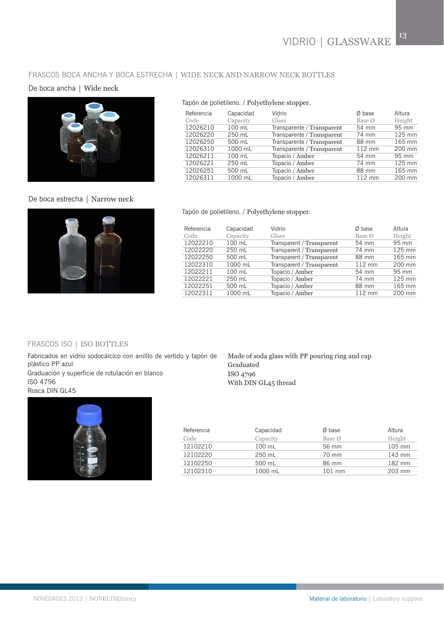# FRASCOS BOCA ANCHA Y BOCA ESTRECHA | WIDE NECK AND NARROW NECK BOTTLES

# De boca ancha | Wide neck



# De boca estrecha | Narrow neck



#### Tapón de polietileno. / Polyethylene stopper.

| Referencia<br>Code | Capacidad<br>Capacity | Vidrio<br>Glass            | Ø base<br>Base Ø | Altura<br>Height |
|--------------------|-----------------------|----------------------------|------------------|------------------|
| 12026210           | 100 mL                | Transparente / Transparent | 54 mm            | 95 mm            |
| 12026220           | $250$ mL              | Transparente / Transparent | 74 mm            | 125 mm           |
| 12026250           | 500 mL                | Transparente / Transparent | 88 mm            | 165 mm           |
| 12026310           | 1000 mL               | Transparente / Transparent | 112 mm           | 200 mm           |
| 12026211           | 100 mL                | Topacio / Amber            | 54 mm            | 95 mm            |
| 12026221           | $250$ mL              | Topacio / Amber            | 74 mm            | 125 mm           |
| 12026251           | 500 mL                | Topacio / Amber            | 88 mm            | 165 mm           |
| 12026311           | 1000 mL               | Topacio / Amber            | 112 mm           | 200 mm           |

#### Tapón de polietileno. / Polyethylene stopper.

| Referencia | Capacidad | Vidrio                    | Ø base | Altura   |
|------------|-----------|---------------------------|--------|----------|
| Code       | Capacity  | Glass                     | Base Ø | Height   |
| 12022210   | 100 mL    | Transparent / Transparent | 54 mm  | 95 mm    |
| 12022220   | 250 mL    | Transparent / Transparent | 74 mm  | $125$ mm |
| 12022250   | 500 mL    | Transparent / Transparent | 88 mm  | 165 mm   |
| 12022310   | 1000 mL   | Transparent / Transparent | 112 mm | 200 mm   |
| 12022211   | 100 mL    | Topacio / Amber           | 54 mm  | 95 mm    |
| 12022221   | 250 mL    | Topacio / Amber           | 74 mm  | 125 mm   |
| 12022251   | 500 mL    | Topacio / Amber           | 88 mm  | 165 mm   |
| 12022311   | 1000 mL   | Topacio / Amber           | 112 mm | 200 mm   |

# FRASCOS ISO | ISO BOTTLES

Fabricados en vidrio sodocálcico con anilllo de vertido y tapón de plástico PP azul Graduación y superficie de rotulación en blanco ISO 4796 Rosca DIN GL45



Made of soda glass with PP pouring ring and cap Graduated ISO 4796 With DIN GL45 thread

| Referencia | Capacidad        | Ø base | Altura |
|------------|------------------|--------|--------|
| Code       | Capacity         | Base Ø | Height |
| 12102210   | $100 \text{ mL}$ | 56 mm  | 105 mm |
| 12102220   | $250$ mL         | 70 mm  | 143 mm |
| 12102250   | 500 mL           | 86 mm  | 182 mm |
| 12102310   | 1000 mL          | 101 mm | 203 mm |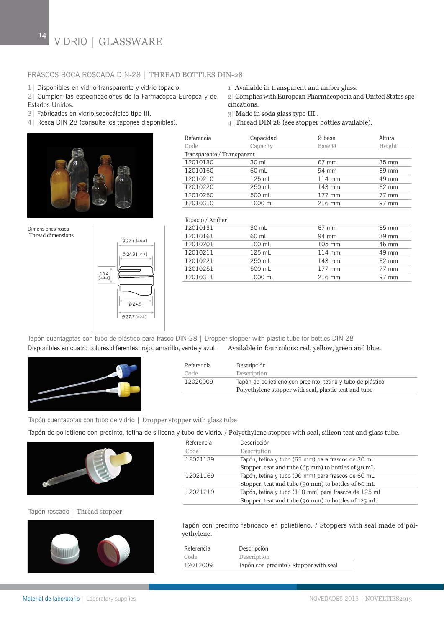<sup>14</sup> VIDRIO | GLASSWARE

#### FRASCOS BOCA ROSCADA DIN-28 | THREAD BOTTLES DIN-28

- 1| Disponibles en vidrio transparente y vidrio topacio.
- 2| Cumplen las especificaciones de la Farmacopea Europea y de
- Estados Unidos.
- 3| Fabricados en vidrio sodocálcico tipo III.
- 4| Rosca DIN 28 (consulte los tapones disponibles).



Dimensiones rosca Thread dimensions



- 1| Available in transparent and amber glass.
- 2| Complies with European Pharmacopoeia and United States specifications.
- 3| Made in soda glass type III .
- 4| Thread DIN 28 (see stopper bottles available).

| Referencia                 | Capacidad | Ø base | Altura          |
|----------------------------|-----------|--------|-----------------|
| Code                       | Capacity  | Base Ø | Height          |
| Transparente / Transparent |           |        |                 |
| 12010130                   | 30 mL     | 67 mm  | $35 \text{ mm}$ |
| 12010160                   | 60 mL     | 94 mm  | 39 mm           |
| 12010210                   | 125 mL    | 114 mm | 49 mm           |
| 12010220                   | 250 mL    | 143 mm | 62 mm           |
| 12010250                   | 500 mL    | 177 mm | 77 mm           |
| 12010310                   | 1000 mL   | 216 mm | 97 mm           |

#### Topacio / Amber

| 12010131 | 30 mL    | 67 mm    | 35 mm |
|----------|----------|----------|-------|
| 12010161 | 60 mL    | 94 mm    | 39 mm |
| 12010201 | 100 mL   | 105 mm   | 46 mm |
| 12010211 | $125$ mL | 114 mm   | 49 mm |
| 12010221 | 250 mL   | 143 mm   | 62 mm |
| 12010251 | 500 mL   | $177$ mm | 77 mm |
| 12010311 | 1000 mL  | 216 mm   | 97 mm |

Disponibles en cuatro colores diferentes: rojo, amarillo, verde y azul. Available in four colors: red, yellow, green and blue. Tapón cuentagotas con tubo de plástico para frasco DIN-28 | Dropper stopper with plastic tube for bottles DIN-28



| Referencia | Descripción                                                  |
|------------|--------------------------------------------------------------|
| Code       | Description                                                  |
| 12020009   | Tapón de polietileno con precinto, tetina y tubo de plástico |
|            | Polyethylene stopper with seal, plastic teat and tube        |

#### Tapón cuentagotas con tubo de vidrio | Dropper stopper with glass tube

Tapón de polietileno con precinto, tetina de silicona y tubo de vidrio. / Polyethylene stopper with seal, silicon teat and glass tube.



#### Tapón roscado | Thread stopper



| Referencia<br>Code | Descripción<br>Description                           |
|--------------------|------------------------------------------------------|
| 12021139           | Tapón, tetina y tubo (65 mm) para frascos de 30 mL   |
|                    | Stopper, teat and tube (65 mm) to bottles of 30 mL   |
| 12021169           | Tapón, tetina y tubo (90 mm) para frascos de 60 mL   |
|                    | Stopper, teat and tube (90 mm) to bottles of 60 mL   |
| 12021219           | Tapón, tetina y tubo (110 mm) para frascos de 125 mL |
|                    | Stopper, teat and tube (90 mm) to bottles of 125 mL  |

Tapón con precinto fabricado en polietileno. / Stoppers with seal made of polyethylene.

| Referencia | Descripción                            |
|------------|----------------------------------------|
| Code       | Description                            |
| 12012009   | Tapón con precinto / Stopper with seal |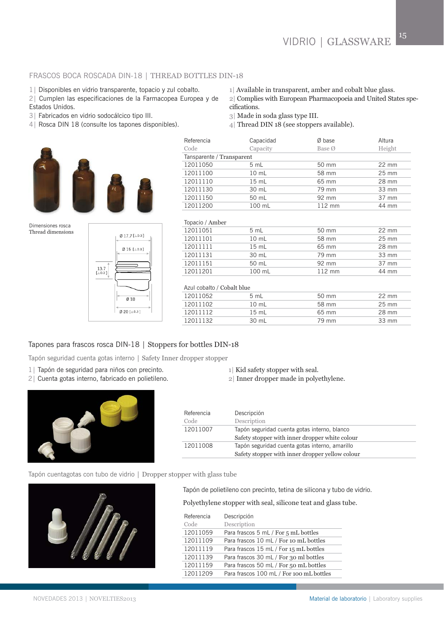#### FRASCOS BOCA ROSCADA DIN-18 | THREAD BOTTLES DIN-18

- 1| Disponibles en vidrio transparente, topacio y zul cobalto.
- 2| Cumplen las especificaciones de la Farmacopea Europea y de

Estados Unidos.

- 3| Fabricados en vidrio sodocálcico tipo III.
- 4| Rosca DIN 18 (consulte los tapones disponibles).



Dimensiones rosca Thread dimensions



- 1| Available in transparent, amber and cobalt blue glass.
- 2| Complies with European Pharmacopoeia and United States specifications.

3| Made in soda glass type III.

4| Thread DIN 18 (see stoppers available).

| Referencia                | Capacidad       | Ø base | Altura          |
|---------------------------|-----------------|--------|-----------------|
| Code                      | Capacity        | Base Ø | Height          |
| Tansparente / Transparent |                 |        |                 |
| 12011050                  | 5 mL            | 50 mm  | $22 \text{ mm}$ |
| 12011100                  | $10 \text{ mL}$ | 58 mm  | $25 \text{ mm}$ |
| 12011110                  | $15 \text{ mL}$ | 65 mm  | 28 mm           |
| 12011130                  | 30 mL           | 79 mm  | 33 mm           |
| 12011150                  | 50 mL           | 92 mm  | 37 mm           |
| 12011200                  | 100 mL          | 112 mm | 44 mm           |
|                           |                 |        |                 |
| Topacio / Amber           |                 |        |                 |
| 12011051                  | 5 mL            | 50 mm  | $22 \text{ mm}$ |
| 12011101                  | $10 \text{ mL}$ | 58 mm  | $25 \text{ mm}$ |
| 12011111                  | $15 \text{ mL}$ | 65 mm  | 28 mm           |
| 12011131                  | 30 mL           | 79 mm  | 33 mm           |
| 12011151                  | 50 mL           | 92 mm  | 37 mm           |
| 12011201                  | 100 mL          | 112 mm | 44 mm           |

#### Azul cobalto / Cobalt blue

| 12011052 | 5 mL            | $50 \text{ mm}$ | $22 \text{ mm}$ |
|----------|-----------------|-----------------|-----------------|
| 12011102 | 10 mL           | 58 mm           | $25 \text{ mm}$ |
| 12011112 | $15 \text{ mL}$ | $65 \text{ mm}$ | 28 mm           |
| 12011132 | 30 mL           | 79 mm           | $33 \text{ mm}$ |

#### Tapones para frascos rosca DIN-18 | Stoppers for bottles DIN-18

Tapón seguridad cuenta gotas interno | Safety Inner dropper stopper

- 1| Tapón de seguridad para niños con precinto.
- 2| Cuenta gotas interno, fabricado en polietileno.
- 1| Kid safety stopper with seal.
- 2| Inner dropper made in polyethylene.



| Referencia | Descripción                                     |
|------------|-------------------------------------------------|
| Code       | Description                                     |
| 12011007   | Tapón seguridad cuenta gotas interno, blanco    |
|            | Safety stopper with inner dropper white colour  |
| 12011008   | Tapón seguridad cuenta gotas interno, amarillo  |
|            | Safety stopper with inner dropper yellow colour |

Tapón cuentagotas con tubo de vidrio | Dropper stopper with glass tube



Tapón de polietileno con precinto, tetina de silicona y tubo de vidrio.

Polyethylene stopper with seal, silicone teat and glass tube.

| Referencia<br>Code | Descripción<br>Description               |
|--------------------|------------------------------------------|
| 12011059           | Para frascos 5 mL / For 5 mL bottles     |
| 12011109           | Para frascos 10 mL / For 10 mL bottles   |
| 12011119           | Para frascos 15 mL / For 15 mL bottles   |
| 12011139           | Para frascos 30 mL / For 30 ml bottles   |
| 12011159           | Para frascos 50 mL / For 50 mL bottles   |
| 12011209           | Para frascos 100 mL / For 100 mL bottles |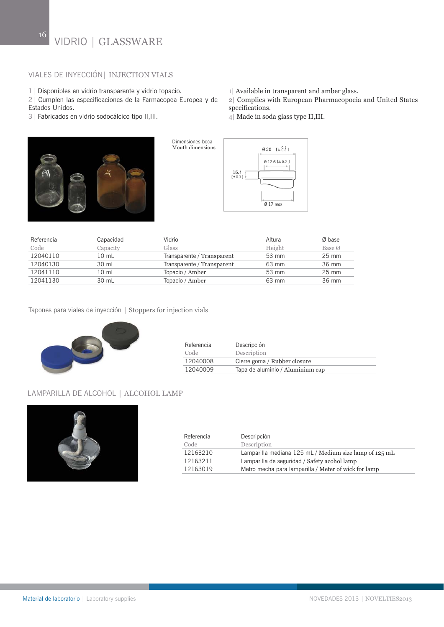VIDRIO | GLASSWARE

# VIALES DE INYECCIÓN| INJECTION VIALS

1| Disponibles en vidrio transparente y vidrio topacio.

2| Cumplen las especificaciones de la Farmacopea Europea y de Estados Unidos.

3| Fabricados en vidrio sodocálcico tipo II,III.

Dimensiones boca Mouth dimensions

1| Available in transparent and amber glass.

2| Complies with European Pharmacopoeia and United States specifications.

4| Made in soda glass type II,III.



| Referencia | Capacidad       | Vidrio                     | Altura | Ø base          |
|------------|-----------------|----------------------------|--------|-----------------|
| Code       | Capacity        | Glass                      | Height | Base Ø          |
| 12040110   | 10 mL           | Transparente / Transparent | 53 mm  | $25 \text{ mm}$ |
| 12040130   | 30 mL           | Transparente / Transparent | 63 mm  | 36 mm           |
| 12041110   | $10 \text{ mL}$ | Topacio / Amber            | 53 mm  | $25 \text{ mm}$ |
| 12041130   | 30 mL           | Topacio / Amber            | 63 mm  | 36 mm           |

Tapones para viales de inyección | Stoppers for injection vials



| Referencia | Descripción                      |
|------------|----------------------------------|
| Code       | Description                      |
| 12040008   | Cierre goma / Rubber closure     |
| 12040009   | Tapa de aluminio / Aluminium cap |

### LAMPARILLA DE ALCOHOL | ALCOHOL LAMP



| Referencia | Descripción                                            |
|------------|--------------------------------------------------------|
| Code       | Description                                            |
| 12163210   | Lamparilla mediana 125 mL / Medium size lamp of 125 mL |
| 12163211   | Lamparilla de seguridad / Safety acohol lamp           |
| 12163019   | Metro mecha para lamparilla / Meter of wick for lamp   |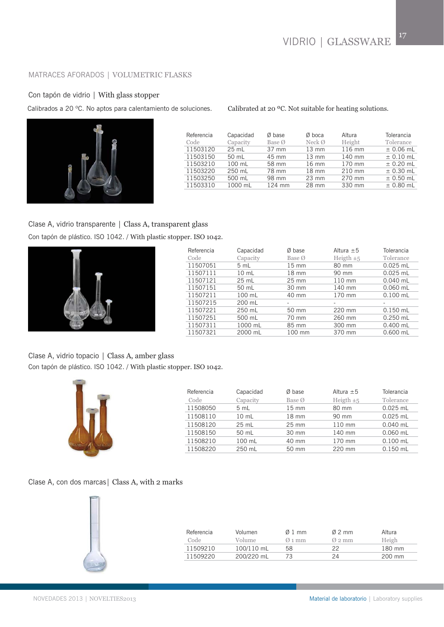#### MATRACES AFORADOS | VOLUMETRIC FLASKS

#### Con tapón de vidrio | With glass stopper



| Referencia | Capacidad | Ø base          | $Ø$ boca           | Altura | Tolerancia  |
|------------|-----------|-----------------|--------------------|--------|-------------|
| Code       | Capacity  | Base Ø          | $Neck$ $\emptyset$ | Height | Tolerance   |
| 11503120   | $25$ mL   | $37 \text{ mm}$ | $13 \text{ mm}$    | 116 mm | $± 0.06$ mL |
| 11503150   | 50 mL     | 45 mm           | $13 \text{ mm}$    | 140 mm | $± 0.10$ mL |
| 11503210   | 100 mL    | 58 mm           | $16 \text{ mm}$    | 170 mm | $± 0.20$ mL |
| 11503220   | 250 mL    | 78 mm           | $18 \text{ mm}$    | 210 mm | $± 0.30$ mL |
| 11503250   | 500 mL    | 98 mm           | $23 \text{ mm}$    | 270 mm | $± 0.50$ mL |
| 11503310   | 1000 mL   | 124 mm          | 28 mm              | 330 mm | $± 0.80$ mL |
|            |           |                 |                    |        |             |

# Clase A, vidrio transparente | Class A, transparent glass Con tapón de plástico. ISO 1042. / With plastic stopper. ISO 1042.



| Referencia | Capacidad       | Ø base                   | Altura $\pm 5$ | Tolerancia |
|------------|-----------------|--------------------------|----------------|------------|
| Code       | Capacity        | Base Ø                   | Heigth $\pm$ 5 | Tolerance  |
| 11507051   | 5 mL            | $15 \text{ mm}$          | 80 mm          | $0.025$ mL |
| 11507111   | $10 \text{ mL}$ | $18 \text{ mm}$          | 90 mm          | $0.025$ mL |
| 11507121   | $25$ mL         | $25 \text{ mm}$          | 110 mm         | $0.040$ mL |
| 11507151   | 50 mL           | 30 mm                    | 140 mm         | $0.060$ mL |
| 11507211   | 100 mL          | 40 mm                    | 170 mm         | $0.100$ mL |
| 11507215   | 200 mL          | $\overline{\phantom{a}}$ |                |            |
| 11507221   | 250 mL          | 50 mm                    | 220 mm         | $0.150$ mL |
| 11507251   | 500 mL          | 70 mm                    | 260 mm         | $0.250$ mL |
| 11507311   | 1000 mL         | 85 mm                    | 300 mm         | $0.400$ mL |
| 11507321   | 2000 mL         | 100 mm                   | 370 mm         | $0.600$ mL |
|            |                 |                          |                |            |

Clase A, vidrio topacio | Class A, amber glass Con tapón de plástico. ISO 1042. / With plastic stopper. ISO 1042.



| Referencia | Capacidad       | Ø base          | Altura $\pm 5$ | Tolerancia |
|------------|-----------------|-----------------|----------------|------------|
| Code       | Capacity        | Base Ø          | Heigth $\pm$ 5 | Tolerance  |
| 11508050   | 5 mL            | $15 \text{ mm}$ | 80 mm          | $0.025$ mL |
| 11508110   | 10 mL           | $18 \text{ mm}$ | 90 mm          | $0.025$ mL |
| 11508120   | $25 \text{ ml}$ | $25 \text{ mm}$ | 110 mm         | $0.040$ mL |
| 11508150   | 50 mL           | $30 \text{ mm}$ | 140 mm         | $0.060$ mL |
| 11508210   | 100 mL          | 40 mm           | 170 mm         | $0.100$ mL |
| 11508220   | 250 mL          | 50 mm           | 220 mm         | $0.150$ mL |

#### Clase A, con dos marcas| Class A, with 2 marks

|  | ۰ |  |
|--|---|--|
|  |   |  |
|  |   |  |

| Referencia | Volumen    | $\varnothing$ 1 mm | $\varnothing$ 2 mm | Altura |
|------------|------------|--------------------|--------------------|--------|
| Code       | Volume     | $\varnothing$ 1 mm | $Q_2$ mm           | Heigh  |
| 11509210   | 100/110 mL | 58                 | つつ                 | 180 mm |
| 11509220   | 200/220 mL |                    | 24                 | 200 mm |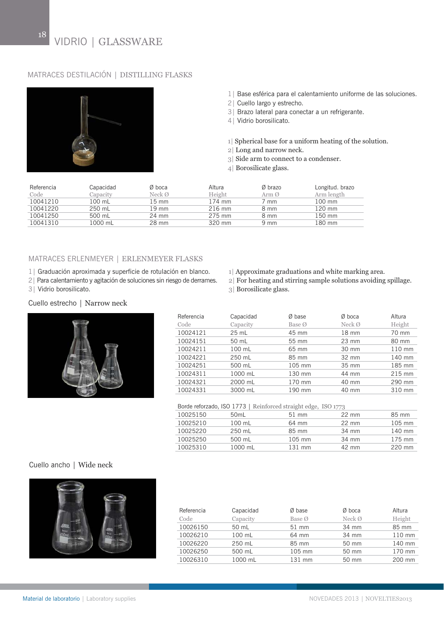# MATRACES DESTILACIÓN | DISTILLING FLASKS



1| Base esférica para el calentamiento uniforme de las soluciones.

2| Cuello largo y estrecho.

3| Brazo lateral para conectar a un refrigerante.

4| Vidrio borosilicato.

 $\scriptstyle\rm 1|$  Spherical base for a uniform heating of the solution.

2| Long and narrow neck.

3| Side arm to connect to a condenser.

4| Borosilicate glass.

| Referencia | Capacidad | Ø boca             | Altura   | Ø brazo        | Longitud, brazo  |
|------------|-----------|--------------------|----------|----------------|------------------|
| Code       | Capacity  | Neck $\varnothing$ | Height   | Arm Ø          | Arm length       |
| 10041210   | 100 mL    | 15 mm              | 174 mm   | / mm           | $100 \text{ mm}$ |
| 10041220   | 250 mL    | $19 \text{ mm}$    | $216$ mm | 8 mm           | 120 mm           |
| 10041250   | 500 mL    | 24 mm              | 275 mm   | 8 mm           | 150 mm           |
| 10041310   | 1000 mL   | 28 mm              | 320 mm   | $9 \text{ mm}$ | 180 mm           |

# MATRACES ERLENMEYER | ERLENMEYER FLASKS

1| Graduación aproximada y superficie de rotulación en blanco.

2| Para calentamiento y agitación de soluciones sin riesgo de derrames.

3| Vidrio borosilicato.

Cuello estrecho | Narrow neck

- 1| Approximate graduations and white marking area.
- 2| For heating and stirring sample solutions avoiding spillage.

3| Borosilicate glass.

| Referencia | Capacidad       | Ø base | $Ø$ boca             | Altura |
|------------|-----------------|--------|----------------------|--------|
| Code       | Capacity        | Base Ø | $Neck$ $\varnothing$ | Height |
| 10024121   | $25 \text{ mL}$ | 45 mm  | $18 \text{ mm}$      | 70 mm  |
| 10024151   | 50 mL           | 55 mm  | 23 mm                | 80 mm  |
| 10024211   | 100 mL          | 65 mm  | 30 mm                | 110 mm |
| 10024221   | 250 mL          | 85 mm  | $32 \text{ mm}$      | 140 mm |
| 10024251   | 500 mL          | 105 mm | 35 mm                | 185 mm |
| 10024311   | 1000 mL         | 130 mm | 44 mm                | 215 mm |
| 10024321   | 2000 mL         | 170 mm | 40 mm                | 290 mm |
| 10024331   | 3000 mL         | 190 mm | 40 mm                | 310 mm |
|            |                 |        |                      |        |

#### Borde reforzado, ISO 1773 | Reinforced straight edge, ISO 1773

| 10025150 | 50 <sub>mL</sub> | $51 \text{ mm}$  | $22 \text{ mm}$ | 85 mm            |
|----------|------------------|------------------|-----------------|------------------|
| 10025210 | $100$ mL         | 64 mm            | $22 \text{ mm}$ | $105 \text{ mm}$ |
| 10025220 | $250$ mL         | 85 mm            | 34 mm           | 140 mm           |
| 10025250 | 500 mL           | $105 \text{ mm}$ | 34 mm           | $175 \text{ mm}$ |
| 10025310 | 1000 mL          | $131 \text{ mm}$ | 42 mm           | 220 mm           |

#### Cuello ancho | Wide neck



| Referencia | Capacidad | Ø base  | Ø boca               | Altura |
|------------|-----------|---------|----------------------|--------|
| Code       | Capacity  | Base Ø  | $Neck$ $\varnothing$ | Height |
| 10026150   | 50 mL     | $51$ mm | 34 mm                | 85 mm  |
| 10026210   | 100 mL    | 64 mm   | 34 mm                | 110 mm |
| 10026220   | 250 mL    | 85 mm   | 50 mm                | 140 mm |
| 10026250   | 500 mL    | 105 mm  | 50 mm                | 170 mm |
| 10026310   | 1000 mL   | 131 mm  | 50 mm                | 200 mm |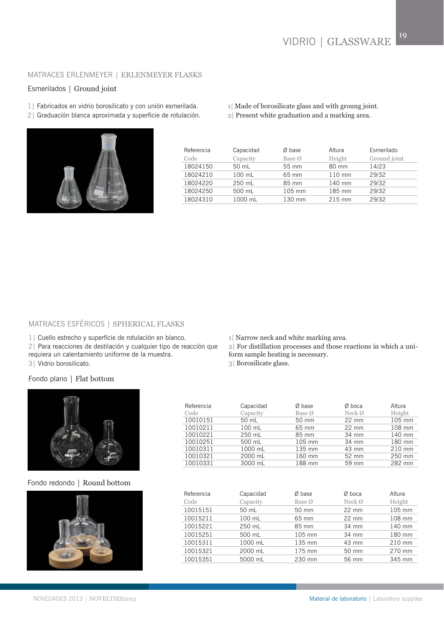#### MATRACES ERLENMEYER | ERLENMEYER FLASKS

### Esmerilados | Ground joint

- 1| Fabricados en vidrio borosilicato y con unión esmerilada.
- 2| Graduación blanca aproximada y superficie de rotulación.



| Referencia | Capacidad | Ø base          | Altura | Esmerilado   |
|------------|-----------|-----------------|--------|--------------|
| Code       | Capacity  | Base Ø          | Height | Ground joint |
| 18024150   | 50 mL     | $55 \text{ mm}$ | 80 mm  | 14/23        |
| 18024210   | 100 mL    | 65 mm           | 110 mm | 29/32        |
| 18024220   | 250 mL    | 85 mm           | 140 mm | 29/32        |
| 18024250   | 500 mL    | 105 mm          | 185 mm | 29/32        |
| 18024310   | 1000 mL   | 130 mm          | 215 mm | 29/32        |

1| Made of borosilicate glass and with groung joint. 2| Present white graduation and a marking area.

# MATRACES ESFÉRICOS | SPHERICAL FLASKS

- 1| Cuello estrecho y superficie de rotulación en blanco.
- 2| Para reacciones de destilación y cualquier tipo de reacción que
- requiera un calentamiento uniforme de la muestra.

3| Vidrio borosilicato.

#### Fondo plano | Flat bottom



#### Fondo redondo | Round bottom



| Referencia<br>Code | Capacidad<br>Capacity | Ø base<br>Base Ø | $Ø$ boca<br>Neck $\varnothing$ | Altura<br>Height |
|--------------------|-----------------------|------------------|--------------------------------|------------------|
| 10010151           | 50 mL                 | 50 mm            | $22 \text{ mm}$                | 105 mm           |
| 10010211           | 100 mL                | 65 mm            | $22 \text{ mm}$                | 108 mm           |
| 10010221           | 250 mL                | 85 mm            | 34 mm                          | 140 mm           |
| 10010251           | 500 mL                | 105 mm           | 34 mm                          | 180 mm           |
| 10010311           | 1000 mL               | 135 mm           | 43 mm                          | $210$ mm         |
| 10010321           | 2000 mL               | 160 mm           | 52 mm                          | 250 mm           |
| 10010331           | 3000 mL               | 188 mm           | 59 mm                          | 282 mm           |

| Referencia | Capacidad | Ø base | Ø boca             | Altura |
|------------|-----------|--------|--------------------|--------|
| Code       | Capacity  | Base Ø | Neck $\varnothing$ | Height |
| 10015151   | 50 mL     | 50 mm  | $22 \text{ mm}$    | 105 mm |
| 10015211   | 100 mL    | 65 mm  | $22 \text{ mm}$    | 108 mm |
| 10015221   | 250 mL    | 85 mm  | 34 mm              | 140 mm |
| 10015251   | 500 mL    | 105 mm | 34 mm              | 180 mm |
| 10015311   | 1000 mL   | 135 mm | 43 mm              | 210 mm |
| 10015321   | 2000 mL   | 175 mm | 50 mm              | 270 mm |
| 10015351   | 5000 mL   | 230 mm | 56 mm              | 345 mm |

1| Narrow neck and white marking area.

2| For distillation processes and those reactions in which a uni-

form sample heating is necessary.

3| Borosilicate glass.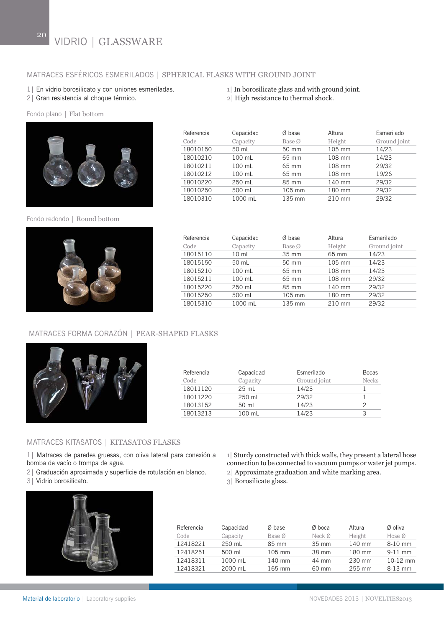#### MATRACES ESFÉRICOS ESMERILADOS | SPHERICAL FLASKS WITH GROUND JOINT

- 1| En vidrio borosilicato y con uniones esmeriladas.
- 2| Gran resistencia al choque térmico.

1| In borosilicate glass and with ground joint.

Referencia Capacidad Ø base Altura Esmerilado Code Capacity Base Ø Height Ground joint 18010150 50 mL 50 mm 105 mm 14/23 18010210 100 mL 65 mm 108 mm 14/23

2| High resistance to thermal shock.

Fondo plano | Flat bottom



Fondo redondo | Round bottom



| 18010211   | 100 mL    | 65 mm  | 108 mm | 29/32      |
|------------|-----------|--------|--------|------------|
| 18010212   | 100 mL    | 65 mm  | 108 mm | 19/26      |
| 18010220   | 250 mL    | 85 mm  | 140 mm | 29/32      |
| 18010250   | 500 mL    | 105 mm | 180 mm | 29/32      |
| 18010310   | 1000 mL   | 135 mm | 210 mm | 29/32      |
|            |           |        |        |            |
|            |           |        |        |            |
|            |           |        |        |            |
| Referencia | Canacidad | A hase | Altura | Fsmerilado |
|            |           |        |        |            |

| Referencia | Capacidad       | Ø base | Altura | Esmerilado   |
|------------|-----------------|--------|--------|--------------|
| Code       | Capacity        | Base Ø | Height | Ground joint |
| 18015110   | $10 \text{ mL}$ | 35 mm  | 65 mm  | 14/23        |
| 18015150   | 50 mL           | 50 mm  | 105 mm | 14/23        |
| 18015210   | 100 mL          | 65 mm  | 108 mm | 14/23        |
| 18015211   | 100 mL          | 65 mm  | 108 mm | 29/32        |
| 18015220   | 250 mL          | 85 mm  | 140 mm | 29/32        |
| 18015250   | 500 mL          | 105 mm | 180 mm | 29/32        |
| 18015310   | 1000 mL         | 135 mm | 210 mm | 29/32        |
|            |                 |        |        |              |

# MATRACES FORMA CORAZÓN | PEAR-SHAPED FLASKS



| Referencia | Capacidad | Esmerilado   | <b>Bocas</b> |
|------------|-----------|--------------|--------------|
| Code       | Capacity  | Ground joint | <b>Necks</b> |
| 18011120   | $25$ mL   | 14/23        |              |
| 18011220   | 250 mL    | 29/32        |              |
| 18013152   | 50 mL     | 14/23        |              |
| 18013213   | 100 mL    | 14/23        |              |

#### MATRACES KITASATOS | KITASATOS FLASKS

1| Matraces de paredes gruesas, con oliva lateral para conexión a bomba de vacío o trompa de agua.

- 2| Graduación aproximada y superficie de rotulación en blanco.
- 3| Vidrio borosilicato.

1| Sturdy constructed with thick walls, they present a lateral hose connection to be connected to vacuum pumps or water jet pumps.

- 2| Approximate graduation and white marking area.
- 3| Borosilicate glass.



| Referencia | Capacidad | Ø base   | $Ø$ boca | Altura | Ø oliva          |
|------------|-----------|----------|----------|--------|------------------|
| Code       | Capacity  | Base Ø   | Neck Ø   | Height | Hose $\emptyset$ |
| 12418221   | 250 mL    | 85 mm    | 35 mm    | 140 mm | 8-10 mm          |
| 12418251   | 500 mL    | $105$ mm | 38 mm    | 180 mm | $9-11$ mm        |
| 12418311   | 1000 mL   | 140 mm   | 44 mm    | 230 mm | $10-12$ mm       |
| 12418321   | 2000 mL   | $165$ mm | 60 mm    | 255 mm | $8-13$ mm        |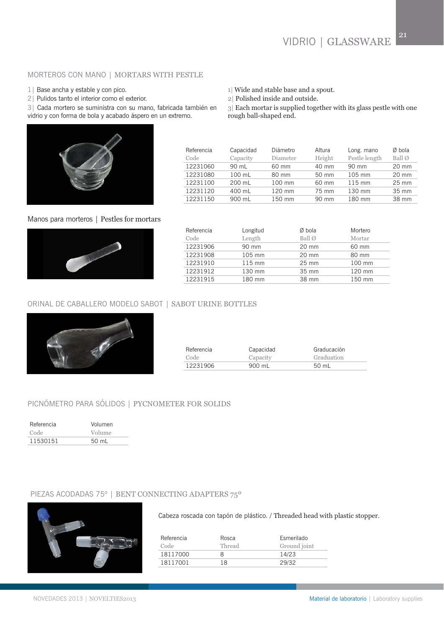3| Each mortar is supplied together with its glass pestle with one

#### MORTEROS CON MANO | MORTARS WITH PESTLE

- 1| Base ancha y estable y con pico.
- 2| Pulidos tanto el interior como el exterior.

3| Cada mortero se suministra con su mano, fabricada también en

vidrio y con forma de bola y acabado áspero en un extremo.



| Referencia | Capacidad | Diámetro | Altura | Long. mano       | Ø bola          |
|------------|-----------|----------|--------|------------------|-----------------|
| Code       | Capacity  | Diameter | Height | Pestle length    | Ball Ø          |
| 12231060   | 90 mL     | 60 mm    | 40 mm  | 90 mm            | $20 \text{ mm}$ |
| 12231080   | 100 mL    | 80 mm    | 50 mm  | 105 mm           | $20 \text{ mm}$ |
| 12231100   | 200 mL    | 100 mm   | 60 mm  | $115 \text{ mm}$ | $25 \text{ mm}$ |
| 12231120   | 400 mL    | 120 mm   | 75 mm  | 130 mm           | 35 mm           |
| 12231150   | 900 mL    | 150 mm   | 90 mm  | 180 mm           | 38 mm           |

1| Wide and stable base and a spout. 2| Polished inside and outside.

rough ball-shaped end.

#### Manos para morteros | Pestles for mortars



| Referencia | Longitud         | Ø bola          | Mortero |
|------------|------------------|-----------------|---------|
| Code       | Length           | Ball Ø          | Mortar  |
| 12231906   | 90 mm            | $20 \text{ mm}$ | 60 mm   |
| 12231908   | 105 mm           | $20 \text{ mm}$ | 80 mm   |
| 12231910   | $115 \text{ mm}$ | $25 \text{ mm}$ | 100 mm  |
| 12231912   | 130 mm           | 35 mm           | 120 mm  |
| 12231915   | 180 mm           | 38 mm           | 150 mm  |

#### ORINAL DE CABALLERO MODELO SABOT | SABOT URINE BOTTLES



| Referencia | Capacidad | Graducación |
|------------|-----------|-------------|
| Code       | Capacity  | Graduation  |
| 12231906   | 900 mL    | 50 mL       |

# PICNÓMETRO PARA SÓLIDOS | PYCNOMETER FOR SOLIDS

| Referencia | Volumen |
|------------|---------|
| Code       | Volume  |
| 11530151   | 50 mL   |

#### PIEZAS ACODADAS 75º | BENT CONNECTING ADAPTERS 75º



Cabeza roscada con tapón de plástico. / Threaded head with plastic stopper.

| Referencia<br>Code | Rosca<br>Thread | Esmerilado<br>Ground joint |
|--------------------|-----------------|----------------------------|
| 18117000           | Χ               | 14/23                      |
| 18117001           | 18              | 29/32                      |
|                    |                 |                            |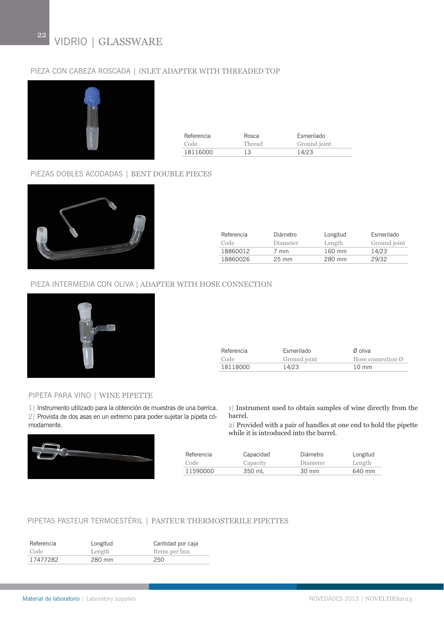# VIDRIO | GLASSWARE

#### PIEZA CON CABEZA ROSCADA | INLET ADAPTER WITH THREADED TOP



22

| Referencia | Rosca  | Esmerilado   |
|------------|--------|--------------|
| Code       | Thread | Ground joint |
| 18116000   | 13     | 14/23        |

#### PIEZAS DOBLES ACODADAS | BENT DOUBLE PIECES



| Referencia | Diámetro        | Longitud | Esmerilado   |
|------------|-----------------|----------|--------------|
| Code       | Diameter        | Length   | Ground joint |
| 18860012   | 7 mm            | 160 mm   | 14/23        |
| 18860026   | $25 \text{ mm}$ | 280 mm   | 29/32        |

#### PIEZA INTERMEDIA CON OLIVA | ADAPTER WITH HOSE CONNECTION



| Referencia | Esmerilado   | Ø oliva                       |
|------------|--------------|-------------------------------|
| Code       | Ground joint | Hose connection $\varnothing$ |
| 18118000   | 14/23        | $10 \text{ mm}$               |

#### PIPETA PARA VINO | WINE PIPETTE

1| Instrumento utilizado para la obtención de muestras de una barrica. 2| Provista de dos asas en un extremo para poder sujetar la pipeta cómodamente.



 $\scriptstyle\rm I\vert$  Instrument used to obtain samples of wine directly from the barrel.

2| Provided with a pair of handles at one end to hold the pipette while it is introduced into the barrel.

| Referencia | Capacidad | Diámetro        | Longitud |
|------------|-----------|-----------------|----------|
| Code       | Capacity  | Diameter        | Length   |
| 11590000   | 350 mL    | $30 \text{ mm}$ | 640 mm   |

# PIPETAS PASTEUR TERMOESTÉRIL | PASTEUR THERMOSTERILE PIPETTES

| Referencia | Longitud | Cantidad por caja |
|------------|----------|-------------------|
| Code       | Length   | Items per box     |
| 17477282   | 280 mm   | 250               |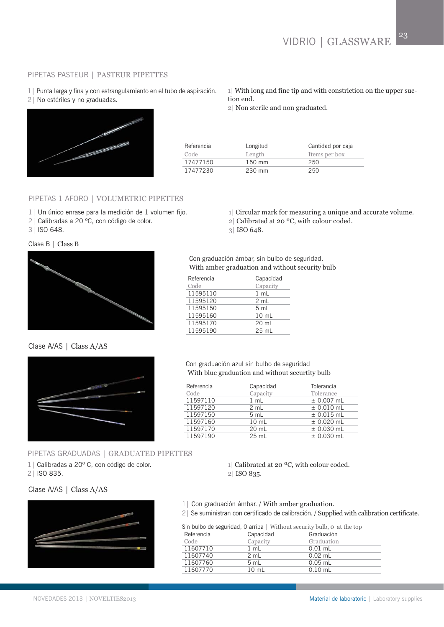#### PIPETAS PASTEUR | PASTEUR PIPETTES

- 1| Punta larga y fina y con estrangulamiento en el tubo de aspiración.
- 2| No estériles y no graduadas.



1| With long and fine tip and with constriction on the upper suction end.

2| Non sterile and non graduated.

| Referencia<br>Code | Longitud<br>Length | Cantidad por caja<br>Items per box |
|--------------------|--------------------|------------------------------------|
| 17477150           | $150 \text{ mm}$   | 250                                |
| 17477230           | 230 mm             | 250                                |

#### PIPETAS 1 AFORO | VOLUMETRIC PIPETTES

- 1| Un único enrase para la medición de 1 volumen fijo.
- 2| Calibradas a 20 °C, con código de color.
- 3| ISO 648.



#### Clase A/AS | Class A/AS



#### PIPETAS GRADUADAS | GRADUATED PIPETTES

1 | Calibradas a 20° C, con código de color. 2| ISO 835.

1| Calibrated at 20 ºC, with colour coded. 2| ISO 835.

Clase A/AS | Class A/AS



1| Con graduación ámbar. / With amber graduation.

2| Se suministran con certificado de calibración. / Supplied with calibration certificate.

| Sin bulbo de seguridad, 0 arriba   Without security bulb, o at the top |                 |            |  |  |  |
|------------------------------------------------------------------------|-----------------|------------|--|--|--|
| Referencia                                                             | Capacidad       | Graduación |  |  |  |
| Code                                                                   | Capacity        | Graduation |  |  |  |
| 11607710                                                               | 1 mL            | $0.01$ mL  |  |  |  |
| 11607740                                                               | 2 mL            | $0.02$ mL  |  |  |  |
| 11607760                                                               | 5 mL            | $0.05$ mL  |  |  |  |
| 11607770                                                               | $10 \text{ mL}$ | $0.10$ mL  |  |  |  |

1| Circular mark for measuring a unique and accurate volume.

2| Calibrated at 20 ºC, with colour coded.

3| ISO 648.

Con graduación ámbar, sin bulbo de seguridad. With amber graduation and without security bulb

| Capacidad       |
|-----------------|
| Capacity        |
| 1 mL            |
| 2 mL            |
| 5 mL            |
| $10 \text{ mL}$ |
| 20 mL           |
| 25 mL           |
|                 |

Con graduación azul sin bulbo de seguridad With blue graduation and without securtity bulb

| Referencia | Capacidad | Tolerancia   |
|------------|-----------|--------------|
| Code       | Capacity  | Tolerance    |
| 11597110   | 1 mL      | $± 0.007$ mL |
| 11597120   | 2 mL      | $± 0.010$ mL |
| 11597150   | 5 mL      | $± 0.015$ mL |
| 11597160   | $10$ mL   | $± 0.020$ mL |
| 11597170   | 20 mL     | $± 0.030$ mL |
| 11597190   | $25$ mL   | $± 0.030$ mL |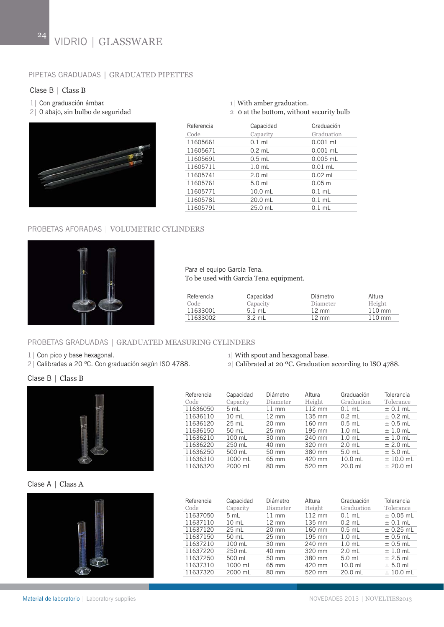#### PIPETAS GRADUADAS | GRADUATED PIPETTES

#### Clase B | Class B

- 1| Con graduación ámbar.
- 2| 0 abajo, sin bulbo de seguridad



| Capacidad | Graduación  |
|-----------|-------------|
| Capacity  | Graduation  |
| $0.1$ mL  | $0.001$ mL  |
| $0.2$ mL  | $0.001$ mL  |
| $0.5$ mL  | $0.005$ mL  |
| $1.0$ mL  | $0.01$ mL   |
| $2.0$ mL  | $0.02$ mL   |
| $5.0$ mL  | $0.05 \; m$ |
| 10.0 mL   | $0.1$ mL    |
| $20.0$ mL | $0.1$ mL    |
| 25.0 mL   | $0.1$ mL    |
|           |             |

1| With amber graduation.

2| 0 at the bottom, without security bulb

# PROBETAS AFORADAS | VOLUMETRIC CYLINDERS



Para el equipo García Tena. To be used with García Tena equipment.

| Referencia<br>Code | Capacidad<br>Capacity | Diámetro<br>Diameter | Altura<br>Height |
|--------------------|-----------------------|----------------------|------------------|
| 11633001           | $5.1 \text{ ml}$      | $12 \text{ mm}$      | $110 \text{ mm}$ |
| 11633002           | $3.2$ mL              | $12 \text{ mm}$      | $110 \text{ mm}$ |

# PROBETAS GRADUADAS | GRADUATED MEASURING CYLINDERS

- 1| Con pico y base hexagonal.
- 2| Calibradas a 20 ºC. Con graduación según ISO 4788.
- 1| With spout and hexagonal base.
- 2| Calibrated at 20 ºC. Graduation according to ISO 4788.

# Clase B | Class B



#### Clase A | Class A



| Referencia | Capacidad       | Diámetro        | Altura | Graduación        | Tolerancia  |
|------------|-----------------|-----------------|--------|-------------------|-------------|
| Code       | Capacity        | Diameter        | Height | Graduation        | Tolerance   |
| 11636050   | 5 mL            | $11 \text{ mm}$ | 112 mm | $0.1$ mL          | $± 0.1$ mL  |
| 11636110   | $10 \text{ mL}$ | $12 \text{ mm}$ | 135 mm | $0.2$ mL          | $± 0.2$ mL  |
| 11636120   | $25$ mL         | $20 \text{ mm}$ | 160 mm | $0.5$ mL          | $± 0.5$ mL  |
| 11636150   | 50 mL           | $25 \text{ mm}$ | 195 mm | 1.0 <sub>mL</sub> | $± 1.0$ mL  |
| 11636210   | $100$ mL        | 30 mm           | 240 mm | $1.0$ mL          | $± 1.0$ mL  |
| 11636220   | 250 mL          | 40 mm           | 320 mm | $2.0$ mL          | $±$ 2.0 mL  |
| 11636250   | 500 mL          | 50 mm           | 380 mm | $5.0$ mL          | $± 5.0$ mL  |
| 11636310   | 1000 mL         | 65 mm           | 420 mm | $10.0$ mL         | $± 10.0$ mL |
| 11636320   | 2000 mL         | 80 mm           | 520 mm | 20.0 mL           | $±$ 20.0 mL |
|            |                 |                 |        |                   |             |

| Referencia<br>Code | Capacidad<br>Capacity | Diámetro<br>Diameter | Altura<br>Height | Graduación<br>Graduation | Tolerancia<br>Tolerance |
|--------------------|-----------------------|----------------------|------------------|--------------------------|-------------------------|
| 11637050           | 5 mL                  | $11 \text{ mm}$      | $112 \text{ mm}$ | $0.1$ ml                 | $\pm$ 0.05 mL           |
| 11637110           | $10 \text{ mL}$       | $12 \text{ mm}$      | 135 mm           | $0.2$ mL                 | $\pm$ 0.1 mL            |
| 11637120           | $25$ mL               | $20 \text{ mm}$      | 160 mm           | $0.5$ mL                 | $± 0.25$ mL             |
| 11637150           | $50 \text{ ml}$       | $25 \text{ mm}$      | 195 mm           | $1.0$ ml                 | $\pm$ 0.5 mL            |
| 11637210           | 100 mL                | 30 mm                | 240 mm           | $1.0$ mL                 | $± 0.5$ mL              |
| 11637220           | $250$ mL              | 40 mm                | 320 mm           | $2.0$ mL                 | $± 1.0$ mL              |
| 11637250           | 500 mL                | 50 mm                | 380 mm           | $5.0$ mL                 | $± 2.5$ mL              |
| 11637310           | 1000 mL               | 65 mm                | 420 mm           | $10.0$ mL                | $± 5.0$ mL              |
| 11637320           | 2000 mL               | 80 mm                | 520 mm           | 20.0 mL                  | $± 10.0$ mL             |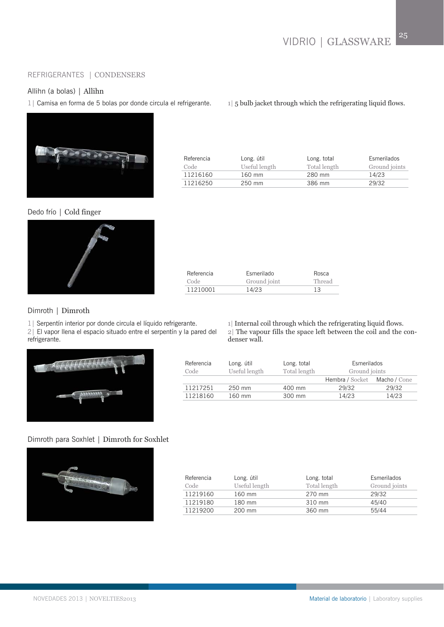#### REFRIGERANTES | CONDENSERS

#### Allihn (a bolas) | Allihn

1| Camisa en forma de 5 bolas por donde circula el refrigerante.  $1/5$  bulb jacket through which the refrigerating liquid flows.



| Referencia<br>Code | Long. útil<br>Useful length | Long. total<br>Total length | Esmerilados<br>Ground joints |
|--------------------|-----------------------------|-----------------------------|------------------------------|
| 11216160           | $160$ mm                    | 280 mm                      | 14/23                        |
| 11216250           | 250 mm                      | 386 mm                      | 29/32                        |

#### Dedo frío | Cold finger



| Referencia | Esmerilado   | Rosca  |
|------------|--------------|--------|
| Code       | Ground joint | Thread |
| 11210001   | 14/23        | 13     |

#### Dimroth | Dimroth

- 1| Serpentín interior por donde circula el líquido refrigerante.
- 2| El vapor llena el espacio situado entre el serpentín y la pared del refrigerante.



1| Internal coil through which the refrigerating liquid flows. 2| The vapour fills the space left between the coil and the condenser wall.

| Referencia | Long. útil    | Long. total  | Esmerilados     |              |
|------------|---------------|--------------|-----------------|--------------|
| Code       | Useful length | Total length | Ground joints   |              |
|            |               |              | Hembra / Socket | Macho / Cone |
| 11217251   | 250 mm        | 400 mm       | 29/32           | 29/32        |
| 11218160   | 160 mm        | 300 mm       | 14/23           | 14/23        |
|            |               |              |                 |              |

#### Dimroth para Soxhlet | Dimroth for Soxhlet



| Referencia | Long. útil    | Long. total  | Esmerilados   |
|------------|---------------|--------------|---------------|
| Code       | Useful length | Total length | Ground joints |
| 11219160   | $160$ mm      | 270 mm       | 29/32         |
| 11219180   | 180 mm        | 310 mm       | 45/40         |
| 11219200   | 200 mm        | 360 mm       | 55/44         |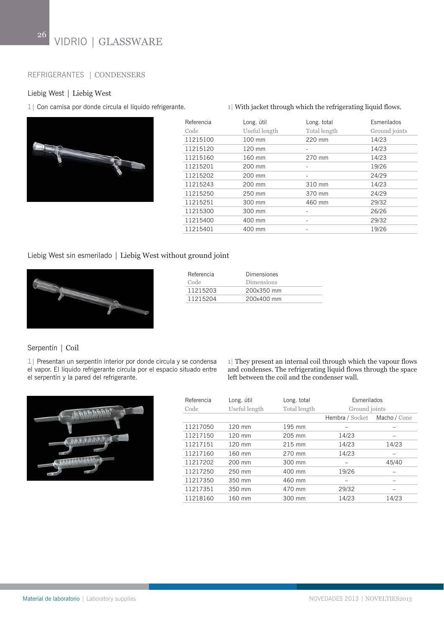#### REFRIGERANTES | CONDENSERS

### Liebig West | Liebig West



| Referencia | Long. útil    | Long. total              | Esmerilados   |
|------------|---------------|--------------------------|---------------|
| Code       | Useful length | Total length             | Ground joints |
| 11215100   | 100 mm        | 220 mm                   | 14/23         |
| 11215120   | 120 mm        |                          | 14/23         |
| 11215160   | 160 mm        | 270 mm                   | 14/23         |
| 11215201   | 200 mm        |                          | 19/26         |
| 11215202   | 200 mm        |                          | 24/29         |
| 11215243   | 200 mm        | 310 mm                   | 14/23         |
| 11215250   | 250 mm        | 370 mm                   | 24/29         |
| 11215251   | 300 mm        | 460 mm                   | 29/32         |
| 11215300   | 300 mm        |                          | 26/26         |
| 11215400   | 400 mm        | $\overline{\phantom{a}}$ | 29/32         |
| 11215401   | 400 mm        |                          | 19/26         |

#### Liebig West sin esmerilado | Liebig West without ground joint



| Referencia | <b>Dimensiones</b> |
|------------|--------------------|
| Code       | Dimensions         |
| 11215203   | 200x350 mm         |
| 11215204   | 200x400 mm         |
|            |                    |

Serpentín | Coil

1| Presentan un serpentín interior por donde circula y se condensa el vapor. El líquido refrigerante circula por el espacio situado entre el serpentín y la pared del refrigerante.

1| They present an internal coil through which the vapour flows and condenses. The refrigerating liquid flows through the space left between the coil and the condenser wall.



| Referencia | Long. útil    | Long. total  | Esmerilados     |              |
|------------|---------------|--------------|-----------------|--------------|
| Code       | Useful length | Total length | Ground joints   |              |
|            |               |              | Hembra / Socket | Macho / Cone |
| 11217050   | 120 mm        | 195 mm       |                 |              |
| 11217150   | 120 mm        | 205 mm       | 14/23           |              |
| 11217151   | 120 mm        | 215 mm       | 14/23           | 14/23        |
| 11217160   | 160 mm        | 270 mm       | 14/23           |              |
| 11217202   | 200 mm        | 300 mm       |                 | 45/40        |
| 11217250   | 250 mm        | 400 mm       | 19/26           |              |
| 11217350   | 350 mm        | 460 mm       |                 |              |
| 11217351   | 350 mm        | 470 mm       | 29/32           |              |
| 11218160   | 160 mm        | 300 mm       | 14/23           | 14/23        |

#### 1| Con camisa por donde circula el líquido refrigerante.  $1$  With jacket through which the refrigerating liquid flows.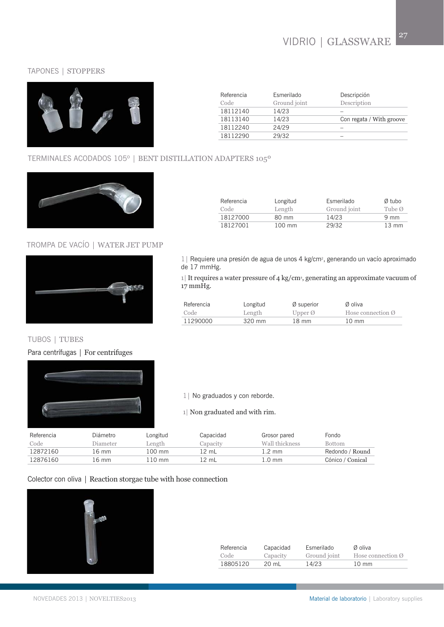# VIDRIO | GLASSWARE  $27$

### TAPONES | STOPPERS



| Referencia | Esmerilado   | Descripción              |
|------------|--------------|--------------------------|
| Code       | Ground joint | Description              |
| 18112140   | 14/23        |                          |
| 18113140   | 14/23        | Con regata / With groove |
| 18112240   | 24/29        |                          |
| 18112290   | 29/32        |                          |
|            |              |                          |

Referencia Longitud Esmerilado Ø tubo Code Length Ground joint Tube Ø 18127000 80 mm 14/23 9 mm 18127001 100 mm 29/32 13 mm

Referencia **Longitud** Ø superior Ø oliva

11290000 320 mm 18 mm 10 mm

Code Length Upper Ø Hose connection Ø

1| Requiere una presión de agua de unos 4 kg/cm2, generando un vacío aproximado

 $1$ | It requires a water pressure of 4 kg/cm<sup>2</sup>, generating an approximate vacuum of

#### TERMINALES ACODADOS 105º | BENT DISTILLATION ADAPTERS 105º



### TROMPA DE VACÍO | WATER JET PUMP



TUBOS | TUBES

# Para centrífugas | For centrifuges



1| No graduados y con reborde.

1| Non graduated and with rim.

| Referencia | Diámetro | Longitud | Capacidad | Grosor pared    | Fondo            |
|------------|----------|----------|-----------|-----------------|------------------|
| Code       | Diameter | Length   | Capacitv  | Wall thickness  | <b>Bottom</b>    |
| 12872160   | 16 mm    | 100 mm   | 12 mL     | $.2 \text{ mm}$ | Redondo / Round  |
| 12876160   | 16 mm    | 110 mm   | 12 mL     | 0 mm            | Cónico / Conical |

de 17 mmHg.

17 mmHg.

#### Colector con oliva | Reaction storgae tube with hose connection



| Referencia | Capacidad | Esmerilado   | Ø oliva                       |
|------------|-----------|--------------|-------------------------------|
| Code       | Capacity  | Ground joint | Hose connection $\varnothing$ |
| 18805120   | 20 mL     | 14/23        | $10 \text{ mm}$               |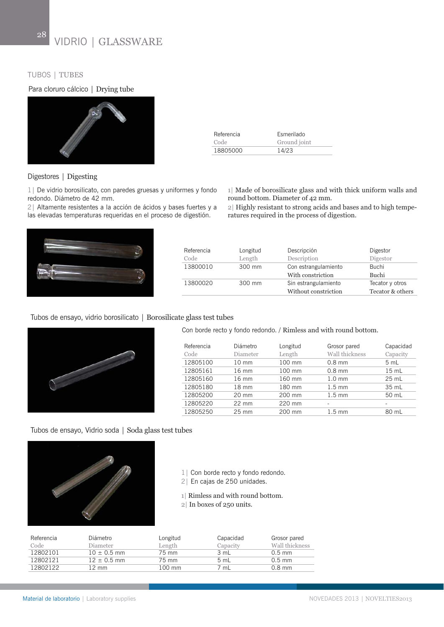#### TUBOS | TUBES

#### Para cloruro cálcico | Drying tube



| Referencia | <b>Fsmerilado</b> |
|------------|-------------------|
| Code       | Ground joint      |
| 18805000   | 14/23             |

Digestores | Digesting

1| De vidrio borosilicato, con paredes gruesas y uniformes y fondo redondo. Diámetro de 42 mm.

2| Altamente resistentes a la acción de ácidos y bases fuertes y a las elevadas temperaturas requeridas en el proceso de digestión.



1| Made of borosilicate glass and with thick uniform walls and round bottom. Diameter of 42 mm.

2| Highly resistant to strong acids and bases and to high temperatures required in the process of digestion.

| Referencia<br>Code | Longitud<br>Length | Descripción<br>Description                   | Digestor<br>Digestor                |
|--------------------|--------------------|----------------------------------------------|-------------------------------------|
| 13800010           | 300 mm             | Con estrangulamiento<br>With constriction    | Buchi<br>Buchi                      |
| 13800020           | 300 mm             | Sin estrangulamiento<br>Without constriction | Tecator y otros<br>Tecator & others |

#### Tubos de ensayo, vidrio borosilicato | Borosilicate glass test tubes



| Referencia<br>Code | Diámetro<br>Diameter | Longitud<br>Length | Grosor pared<br>Wall thickness | Capacidad<br>Capacity |
|--------------------|----------------------|--------------------|--------------------------------|-----------------------|
| 12805100           | $10 \text{ mm}$      | 100 mm             | $0.8$ mm                       | 5 mL                  |
| 12805161           | $16 \text{ mm}$      | 100 mm             | $0.8$ mm                       | $15 \text{ mL}$       |
| 12805160           | $16 \text{ mm}$      | 160 mm             | $1.0 \text{ mm}$               | $25$ mL               |
| 12805180           | 18 mm                | 180 mm             | $1.5 \text{ mm}$               | 35 mL                 |
| 12805200           | $20 \text{ mm}$      | 200 mm             | $1.5 \text{ mm}$               | 50 mL                 |
| 12805220           | $22 \text{ mm}$      | 220 mm             |                                |                       |
| 12805250           | $25 \text{ mm}$      | 200 mm             | $1.5 \text{ mm}$               | 80 mL                 |

Tubos de ensayo, Vidrio soda | Soda glass test tubes



- 1| Con borde recto y fondo redondo.
- 2| En cajas de 250 unidades.
- 1| Rimless and with round bottom.
- 2| In boxes of 250 units.

| Referencia | Diámetro        | Longitud         | Capacidad | Grosor pared   |
|------------|-----------------|------------------|-----------|----------------|
| Code       | Diameter        | Length           | Capacity  | Wall thickness |
| 12802101   | $10 \pm 0.5$ mm | 75 mm            | 3 mL      | $0.5$ mm       |
| 12802121   | $12 \pm 0.5$ mm | 75 mm            | 5 mL      | $0.5$ mm       |
| 12802122   | $12 \text{ mm}$ | $100 \text{ mm}$ | 7 mL      | $0.8$ mm       |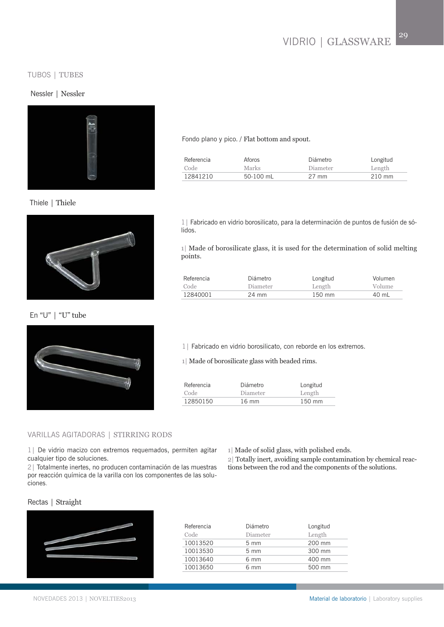#### TUBOS | TUBES

#### Nessler | Nessler



Thiele | Thiele



En "U" | "U" tube



Fondo plano y pico. / Flat bottom and spout.

| Referencia | Aforos      | Diámetro        | Longitud         |
|------------|-------------|-----------------|------------------|
| Code       | Marks       | Diameter        | Length           |
| 12841210   | 50-100 $mL$ | $27 \text{ mm}$ | $210 \text{ mm}$ |

1| Fabricado en vidrio borosilicato, para la determinación de puntos de fusión de sólidos.

1| Made of borosilicate glass, it is used for the determination of solid melting points.

| Referencia | Diámetro | Longitud         | Volumen |
|------------|----------|------------------|---------|
| Code       | Diameter | Length           | Volume  |
| 12840001   | 24 mm    | $150 \text{ mm}$ | 40 mL   |

1| Fabricado en vidrio borosilicato, con reborde en los extremos.

1| Made of borosilicate glass with beaded rims.

| Referencia | Diámetro        | Longitud |
|------------|-----------------|----------|
| Code       | Diameter        | Length   |
| 12850150   | $16 \text{ mm}$ | 150 mm   |

#### VARILLAS AGITADORAS | STIRRING RODS

1| De vidrio macizo con extremos requemados, permiten agitar cualquier tipo de soluciones.

2| Totalmente inertes, no producen contaminación de las muestras por reacción química de la varilla con los componentes de las soluciones.

1| Made of solid glass, with polished ends.

2| Totally inert, avoiding sample contamination by chemical reactions between the rod and the components of the solutions.

#### Rectas | Straight



| Referencia | Diámetro         | Longitud |
|------------|------------------|----------|
| Code       | Diameter         | Length   |
| 10013520   | $5 \text{ mm}$   | 200 mm   |
| 10013530   | $5 \, \text{mm}$ | 300 mm   |
| 10013640   | 6 mm             | 400 mm   |
| 10013650   | 6 mm             | 500 mm   |
|            |                  |          |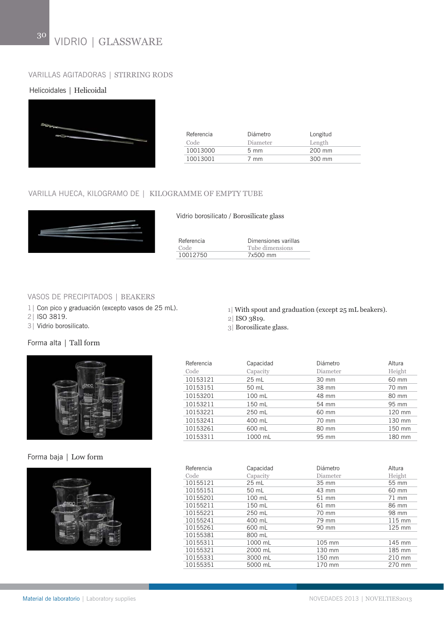### VARILLAS AGITADORAS | STIRRING RODS

#### Helicoidales | Helicoidal



| Referencia | Diámetro       | Longitud |
|------------|----------------|----------|
| Code       | Diameter       | Length   |
| 10013000   | $5 \text{ mm}$ | 200 mm   |
| 10013001   | 7 mm           | 300 mm   |

# VARILLA HUECA, KILOGRAMO DE | KILOGRAMME OF EMPTY TUBE



Vidrio borosilicato / Borosilicate glass

| Referencia | Dimensiones varillas |
|------------|----------------------|
| Code       | Tube dimensions      |
| 10012750   | 7x500 mm             |

#### VASOS DE PRECIPITADOS | BEAKERS

- 1| Con pico y graduación (excepto vasos de 25 mL).
- 2| ISO 3819.
- 3| Vidrio borosilicato.

## Forma alta | Tall form



### Forma baja | Low form



1| With spout and graduation (except 25 mL beakers).

2| ISO 3819.

3| Borosilicate glass.

| Referencia | Capacidad | Diámetro | Altura |
|------------|-----------|----------|--------|
| Code       | Capacity  | Diameter | Height |
| 10153121   | $25$ mL   | 30 mm    | 60 mm  |
| 10153151   | 50 mL     | 38 mm    | 70 mm  |
| 10153201   | 100 mL    | 48 mm    | 80 mm  |
| 10153211   | 150 mL    | 54 mm    | 95 mm  |
| 10153221   | 250 mL    | 60 mm    | 120 mm |
| 10153241   | 400 mL    | 70 mm    | 130 mm |
| 10153261   | 600 mL    | 80 mm    | 150 mm |
| 10153311   | 1000 mL   | 95 mm    | 180 mm |

| Referencia | Capacidad | Diámetro | Altura   |
|------------|-----------|----------|----------|
| Code       | Capacity  | Diameter | Height   |
| 10155121   | $25$ mL   | 35 mm    | 55 mm    |
| 10155151   | 50 mL     | 43 mm    | 60 mm    |
| 10155201   | $100$ mL  | 51 mm    | 71 mm    |
| 10155211   | 150 mL    | 61 mm    | 86 mm    |
| 10155221   | 250 mL    | 70 mm    | 98 mm    |
| 10155241   | 400 mL    | 79 mm    | $115$ mm |
| 10155261   | 600 mL    | 90 mm    | 125 mm   |
| 10155381   | 800 mL    |          |          |
| 10155311   | 1000 mL   | 105 mm   | 145 mm   |
| 10155321   | 2000 mL   | 130 mm   | 185 mm   |
| 10155331   | 3000 mL   | 150 mm   | 210 mm   |
| 10155351   | 5000 mL   | 170 mm   | 270 mm   |
|            |           |          |          |